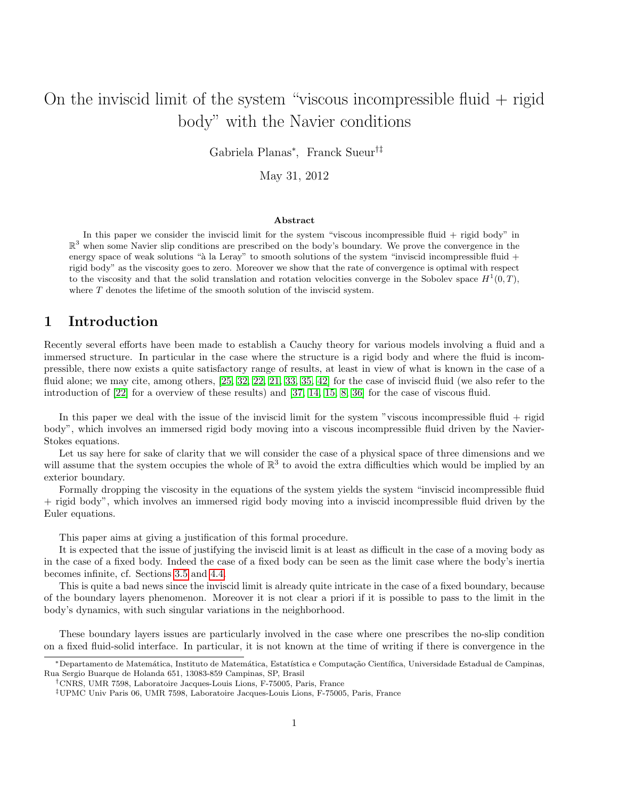# On the inviscid limit of the system "viscous incompressible fluid  $+$  rigid body" with the Navier conditions

Gabriela Planas<sup>∗</sup> , Franck Sueur†‡

May 31, 2012

#### Abstract

In this paper we consider the inviscid limit for the system "viscous incompressible fluid  $+$  rigid body" in  $\mathbb{R}^3$  when some Navier slip conditions are prescribed on the body's boundary. We prove the convergence in the energy space of weak solutions "à la Leray" to smooth solutions of the system "inviscid incompressible fluid  $+$ rigid body" as the viscosity goes to zero. Moreover we show that the rate of convergence is optimal with respect to the viscosity and that the solid translation and rotation velocities converge in the Sobolev space  $H^1(0,T)$ , where T denotes the lifetime of the smooth solution of the inviscid system.

## 1 Introduction

Recently several efforts have been made to establish a Cauchy theory for various models involving a fluid and a immersed structure. In particular in the case where the structure is a rigid body and where the fluid is incompressible, there now exists a quite satisfactory range of results, at least in view of what is known in the case of a fluid alone; we may cite, among others,  $[25, 32, 22, 21, 33, 35, 42]$  $[25, 32, 22, 21, 33, 35, 42]$  $[25, 32, 22, 21, 33, 35, 42]$  $[25, 32, 22, 21, 33, 35, 42]$  $[25, 32, 22, 21, 33, 35, 42]$  $[25, 32, 22, 21, 33, 35, 42]$  $[25, 32, 22, 21, 33, 35, 42]$  for the case of inviscid fluid (we also refer to the introduction of [\[22\]](#page-22-1) for a overview of these results) and [\[37,](#page-23-4) [14,](#page-22-3) [15,](#page-22-4) [8,](#page-22-5) [36\]](#page-23-5) for the case of viscous fluid.

In this paper we deal with the issue of the inviscid limit for the system "viscous incompressible fluid + rigid body", which involves an immersed rigid body moving into a viscous incompressible fluid driven by the Navier-Stokes equations.

Let us say here for sake of clarity that we will consider the case of a physical space of three dimensions and we will assume that the system occupies the whole of  $\mathbb{R}^3$  to avoid the extra difficulties which would be implied by an exterior boundary.

Formally dropping the viscosity in the equations of the system yields the system "inviscid incompressible fluid + rigid body", which involves an immersed rigid body moving into a inviscid incompressible fluid driven by the Euler equations.

This paper aims at giving a justification of this formal procedure.

It is expected that the issue of justifying the inviscid limit is at least as difficult in the case of a moving body as in the case of a fixed body. Indeed the case of a fixed body can be seen as the limit case where the body's inertia becomes infinite, cf. Sections [3.5](#page-12-0) and [4.4.](#page-16-0)

This is quite a bad news since the inviscid limit is already quite intricate in the case of a fixed boundary, because of the boundary layers phenomenon. Moreover it is not clear a priori if it is possible to pass to the limit in the body's dynamics, with such singular variations in the neighborhood.

These boundary layers issues are particularly involved in the case where one prescribes the no-slip condition on a fixed fluid-solid interface. In particular, it is not known at the time of writing if there is convergence in the

<sup>\*</sup>Departamento de Matemática, Instituto de Matemática, Estatística e Computação Científica, Universidade Estadual de Campinas, Rua Sergio Buarque de Holanda 651, 13083-859 Campinas, SP, Brasil

<sup>†</sup>CNRS, UMR 7598, Laboratoire Jacques-Louis Lions, F-75005, Paris, France

<sup>‡</sup>UPMC Univ Paris 06, UMR 7598, Laboratoire Jacques-Louis Lions, F-75005, Paris, France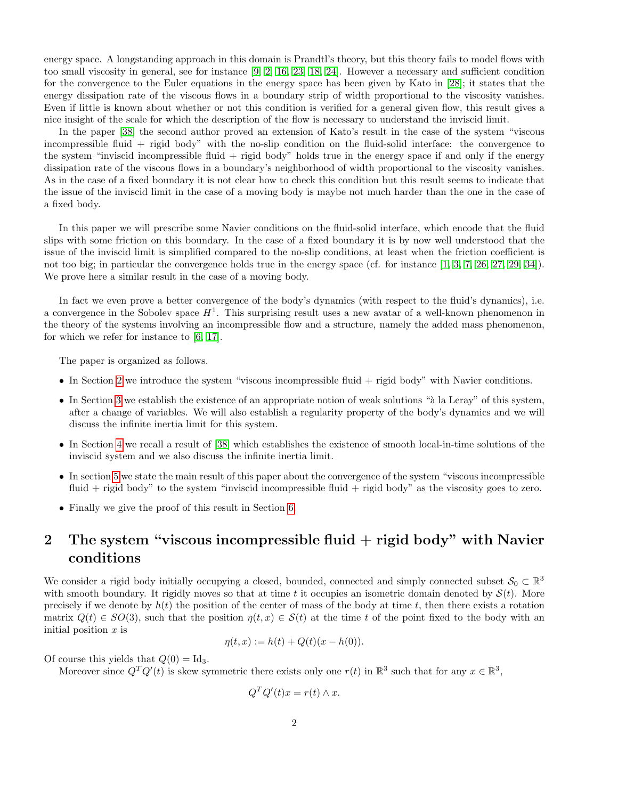energy space. A longstanding approach in this domain is Prandtl's theory, but this theory fails to model flows with too small viscosity in general, see for instance [\[9,](#page-22-6) [2,](#page-21-0) [16,](#page-22-7) [23,](#page-22-8) [18,](#page-22-9) [24\]](#page-22-10). However a necessary and sufficient condition for the convergence to the Euler equations in the energy space has been given by Kato in [\[28\]](#page-22-11); it states that the energy dissipation rate of the viscous flows in a boundary strip of width proportional to the viscosity vanishes. Even if little is known about whether or not this condition is verified for a general given flow, this result gives a nice insight of the scale for which the description of the flow is necessary to understand the inviscid limit.

In the paper [\[38\]](#page-23-6) the second author proved an extension of Kato's result in the case of the system "viscous incompressible fluid + rigid body" with the no-slip condition on the fluid-solid interface: the convergence to the system "inviscid incompressible fluid + rigid body" holds true in the energy space if and only if the energy dissipation rate of the viscous flows in a boundary's neighborhood of width proportional to the viscosity vanishes. As in the case of a fixed boundary it is not clear how to check this condition but this result seems to indicate that the issue of the inviscid limit in the case of a moving body is maybe not much harder than the one in the case of a fixed body.

In this paper we will prescribe some Navier conditions on the fluid-solid interface, which encode that the fluid slips with some friction on this boundary. In the case of a fixed boundary it is by now well understood that the issue of the inviscid limit is simplified compared to the no-slip conditions, at least when the friction coefficient is not too big; in particular the convergence holds true in the energy space (cf. for instance [\[1,](#page-21-1) [3,](#page-21-2) [7,](#page-21-3) [26,](#page-22-12) [27,](#page-22-13) [29,](#page-23-7) [34\]](#page-23-8)). We prove here a similar result in the case of a moving body.

In fact we even prove a better convergence of the body's dynamics (with respect to the fluid's dynamics), i.e. a convergence in the Sobolev space  $H^1$ . This surprising result uses a new avatar of a well-known phenomenon in the theory of the systems involving an incompressible flow and a structure, namely the added mass phenomenon, for which we refer for instance to [\[6,](#page-21-4) [17\]](#page-22-14).

The paper is organized as follows.

- In Section [2](#page-1-0) we introduce the system "viscous incompressible fluid  $+$  rigid body" with Navier conditions.
- In Section [3](#page-3-0) we establish the existence of an appropriate notion of weak solutions "à la Leray" of this system, after a change of variables. We will also establish a regularity property of the body's dynamics and we will discuss the infinite inertia limit for this system.
- In Section [4](#page-14-0) we recall a result of [\[38\]](#page-23-6) which establishes the existence of smooth local-in-time solutions of the inviscid system and we also discuss the infinite inertia limit.
- In section [5](#page-17-0) we state the main result of this paper about the convergence of the system "viscous incompressible fluid + rigid body" to the system "inviscid incompressible fluid + rigid body" as the viscosity goes to zero.
- Finally we give the proof of this result in Section [6.](#page-18-0)

# <span id="page-1-0"></span>2 The system "viscous incompressible fluid  $+$  rigid body" with Navier conditions

We consider a rigid body initially occupying a closed, bounded, connected and simply connected subset  $S_0 \subset \mathbb{R}^3$ with smooth boundary. It rigidly moves so that at time t it occupies an isometric domain denoted by  $S(t)$ . More precisely if we denote by  $h(t)$  the position of the center of mass of the body at time t, then there exists a rotation matrix  $Q(t) \in SO(3)$ , such that the position  $\eta(t, x) \in S(t)$  at the time t of the point fixed to the body with an initial position  $x$  is

$$
\eta(t, x) := h(t) + Q(t)(x - h(0)).
$$

Of course this yields that  $Q(0) = \text{Id}_3$ .

Moreover since  $Q^T Q'(t)$  is skew symmetric there exists only one  $r(t)$  in  $\mathbb{R}^3$  such that for any  $x \in \mathbb{R}^3$ ,

 $\epsilon$ 

$$
Q^T Q'(t)x = r(t) \wedge x.
$$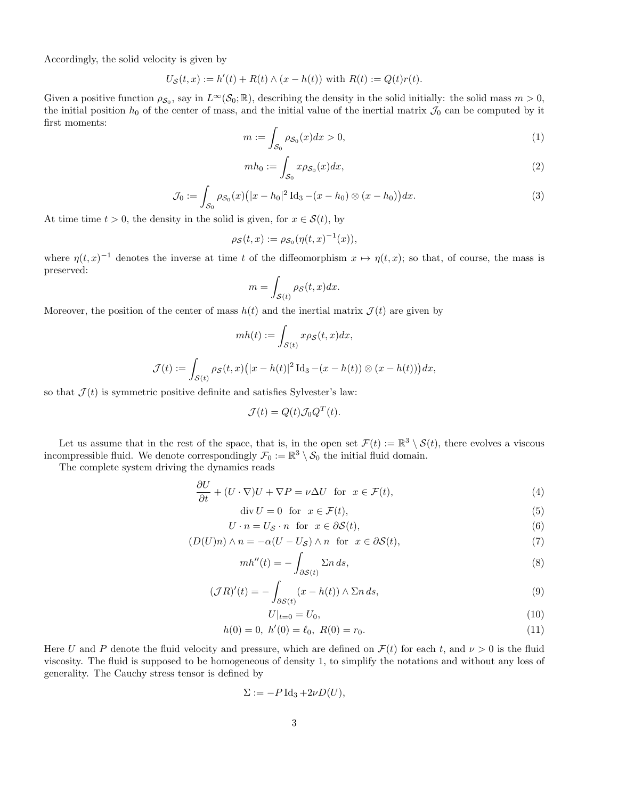Accordingly, the solid velocity is given by

$$
U_{\mathcal{S}}(t,x) := h'(t) + R(t) \wedge (x - h(t)) \text{ with } R(t) := Q(t)r(t).
$$

Given a positive function  $\rho_{S_0}$ , say in  $L^{\infty}(\mathcal{S}_0;\mathbb{R})$ , describing the density in the solid initially: the solid mass  $m > 0$ , the initial position  $h_0$  of the center of mass, and the initial value of the inertial matrix  $\mathcal{J}_0$  can be computed by it first moments:

<span id="page-2-7"></span>
$$
m := \int_{\mathcal{S}_0} \rho_{\mathcal{S}_0}(x) dx > 0,\tag{1}
$$

<span id="page-2-8"></span>
$$
mh_0 := \int_{\mathcal{S}_0} x \rho_{\mathcal{S}_0}(x) dx,\tag{2}
$$

<span id="page-2-9"></span>
$$
\mathcal{J}_0 := \int_{\mathcal{S}_0} \rho_{\mathcal{S}_0}(x) \left( |x - h_0|^2 \, \mathrm{Id}_3 - (x - h_0) \otimes (x - h_0) \right) dx. \tag{3}
$$

At time time  $t > 0$ , the density in the solid is given, for  $x \in \mathcal{S}(t)$ , by

$$
\rho_{\mathcal{S}}(t,x) := \rho_{\mathcal{S}_0}(\eta(t,x)^{-1}(x)),
$$

where  $\eta(t,x)^{-1}$  denotes the inverse at time t of the diffeomorphism  $x \mapsto \eta(t,x)$ ; so that, of course, the mass is preserved:

$$
m = \int_{\mathcal{S}(t)} \rho_{\mathcal{S}}(t, x) dx.
$$

Moreover, the position of the center of mass  $h(t)$  and the inertial matrix  $\mathcal{J}(t)$  are given by

$$
mh(t) := \int_{\mathcal{S}(t)} x \rho_{\mathcal{S}}(t,x) dx,
$$

$$
\mathcal{J}(t) := \int_{\mathcal{S}(t)} \rho_{\mathcal{S}}(t,x) \big( |x - h(t)|^2 \operatorname{Id}_3 - (x - h(t)) \otimes (x - h(t)) \big) dx,
$$

so that  $\mathcal{J}(t)$  is symmetric positive definite and satisfies Sylvester's law:

<span id="page-2-0"></span>
$$
\mathcal{J}(t) = Q(t)\mathcal{J}_0Q^T(t).
$$

Let us assume that in the rest of the space, that is, in the open set  $\mathcal{F}(t) := \mathbb{R}^3 \setminus \mathcal{S}(t)$ , there evolves a viscous incompressible fluid. We denote correspondingly  $\mathcal{F}_0 := \mathbb{R}^3 \setminus \mathcal{S}_0$  the initial fluid domain.

The complete system driving the dynamics reads

$$
\frac{\partial U}{\partial t} + (U \cdot \nabla)U + \nabla P = \nu \Delta U \text{ for } x \in \mathcal{F}(t),\tag{4}
$$

$$
\operatorname{div} U = 0 \quad \text{for} \quad x \in \mathcal{F}(t),\tag{5}
$$

$$
U \cdot n = U_{\mathcal{S}} \cdot n \quad \text{for} \quad x \in \partial \mathcal{S}(t),\tag{6}
$$

$$
(D(U)n) \wedge n = -\alpha (U - U_{\mathcal{S}}) \wedge n \quad \text{for} \quad x \in \partial \mathcal{S}(t), \tag{7}
$$

$$
mh''(t) = -\int_{\partial S(t)} \Sigma n \, ds,\tag{8}
$$

$$
(\mathcal{J}R)'(t) = -\int_{\partial \mathcal{S}(t)} (x - h(t)) \wedge \Sigma n \, ds,\tag{9}
$$

<span id="page-2-6"></span><span id="page-2-5"></span><span id="page-2-4"></span><span id="page-2-3"></span><span id="page-2-2"></span><span id="page-2-1"></span>
$$
U|_{t=0} = U_0,\t\t(10)
$$

$$
h(0) = 0, \ h'(0) = \ell_0, \ R(0) = r_0. \tag{11}
$$

Here U and P denote the fluid velocity and pressure, which are defined on  $\mathcal{F}(t)$  for each t, and  $\nu > 0$  is the fluid viscosity. The fluid is supposed to be homogeneous of density 1, to simplify the notations and without any loss of generality. The Cauchy stress tensor is defined by

$$
\Sigma := -P \operatorname{Id}_3 + 2\nu D(U),
$$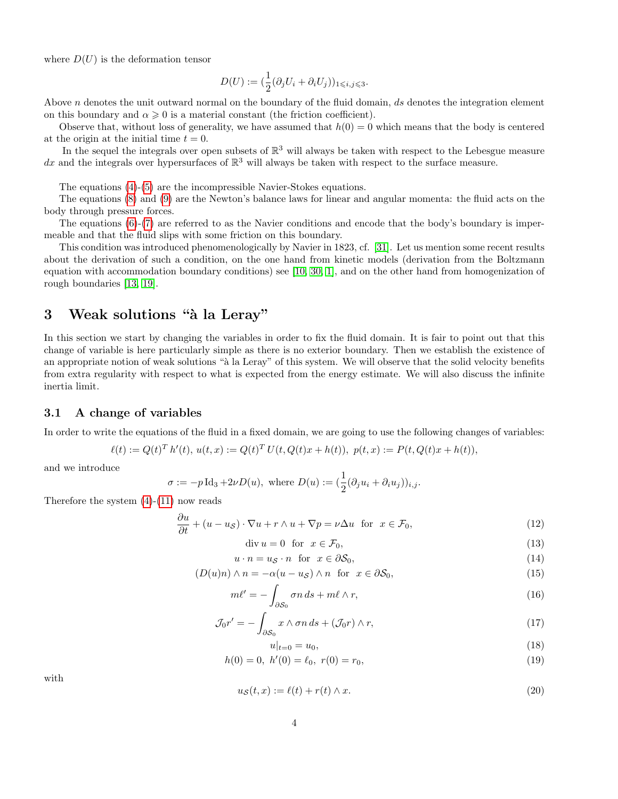where  $D(U)$  is the deformation tensor

$$
D(U) := \left(\frac{1}{2}(\partial_j U_i + \partial_i U_j)\right)_{1 \leq i,j \leq 3}.
$$

Above  $n$  denotes the unit outward normal on the boundary of the fluid domain, ds denotes the integration element on this boundary and  $\alpha \geq 0$  is a material constant (the friction coefficient).

Observe that, without loss of generality, we have assumed that  $h(0) = 0$  which means that the body is centered at the origin at the initial time  $t = 0$ .

In the sequel the integrals over open subsets of  $\mathbb{R}^3$  will always be taken with respect to the Lebesgue measure dx and the integrals over hypersurfaces of  $\mathbb{R}^3$  will always be taken with respect to the surface measure.

The equations [\(4\)](#page-2-0)-[\(5\)](#page-2-1) are the incompressible Navier-Stokes equations.

The equations [\(8\)](#page-2-2) and [\(9\)](#page-2-3) are the Newton's balance laws for linear and angular momenta: the fluid acts on the body through pressure forces.

The equations [\(6\)](#page-2-4)-[\(7\)](#page-2-5) are referred to as the Navier conditions and encode that the body's boundary is impermeable and that the fluid slips with some friction on this boundary.

This condition was introduced phenomenologically by Navier in 1823, cf. [\[31\]](#page-23-9). Let us mention some recent results about the derivation of such a condition, on the one hand from kinetic models (derivation from the Boltzmann equation with accommodation boundary conditions) see [\[10,](#page-22-15) [30,](#page-23-10) [1\]](#page-21-1), and on the other hand from homogenization of rough boundaries [\[13,](#page-22-16) [19\]](#page-22-17).

# <span id="page-3-0"></span>3 Weak solutions "à la Leray"

In this section we start by changing the variables in order to fix the fluid domain. It is fair to point out that this change of variable is here particularly simple as there is no exterior boundary. Then we establish the existence of an appropriate notion of weak solutions "à la Leray" of this system. We will observe that the solid velocity benefits from extra regularity with respect to what is expected from the energy estimate. We will also discuss the infinite inertia limit.

#### <span id="page-3-8"></span>3.1 A change of variables

In order to write the equations of the fluid in a fixed domain, we are going to use the following changes of variables:

$$
\ell(t) := Q(t)^T h'(t), \, u(t, x) := Q(t)^T U(t, Q(t)x + h(t)), \, p(t, x) := P(t, Q(t)x + h(t)),
$$

and we introduce

$$
\sigma := -p \operatorname{Id}_3 + 2\nu D(u), \text{ where } D(u) := (\frac{1}{2}(\partial_j u_i + \partial_i u_j))_{i,j}.
$$

Therefore the system  $(4)-(11)$  $(4)-(11)$  now reads

$$
\frac{\partial u}{\partial t} + (u - u_{\mathcal{S}}) \cdot \nabla u + r \wedge u + \nabla p = \nu \Delta u \text{ for } x \in \mathcal{F}_0,
$$
\n(12)

<span id="page-3-1"></span>
$$
\operatorname{div} u = 0 \quad \text{for} \quad x \in \mathcal{F}_0,\tag{13}
$$

$$
u \cdot n = u_{\mathcal{S}} \cdot n \quad \text{for} \quad x \in \partial \mathcal{S}_0,\tag{14}
$$

$$
(D(u)n) \wedge n = -\alpha(u - u_{\mathcal{S}}) \wedge n \quad \text{for} \quad x \in \partial \mathcal{S}_0,\tag{15}
$$

$$
m\ell' = -\int_{\partial S_0} \sigma n \, ds + m\ell \wedge r,\tag{16}
$$

$$
\mathcal{J}_0 r' = -\int_{\partial \mathcal{S}_0} x \wedge \sigma n \, ds + (\mathcal{J}_0 r) \wedge r,\tag{17}
$$

<span id="page-3-6"></span><span id="page-3-5"></span><span id="page-3-4"></span><span id="page-3-3"></span><span id="page-3-2"></span>
$$
u|_{t=0} = u_0,\t\t(18)
$$

$$
h(0) = 0, \ h'(0) = \ell_0, \ r(0) = r_0,
$$
\n<sup>(19)</sup>

with

<span id="page-3-7"></span>
$$
u_{\mathcal{S}}(t,x) := \ell(t) + r(t) \wedge x. \tag{20}
$$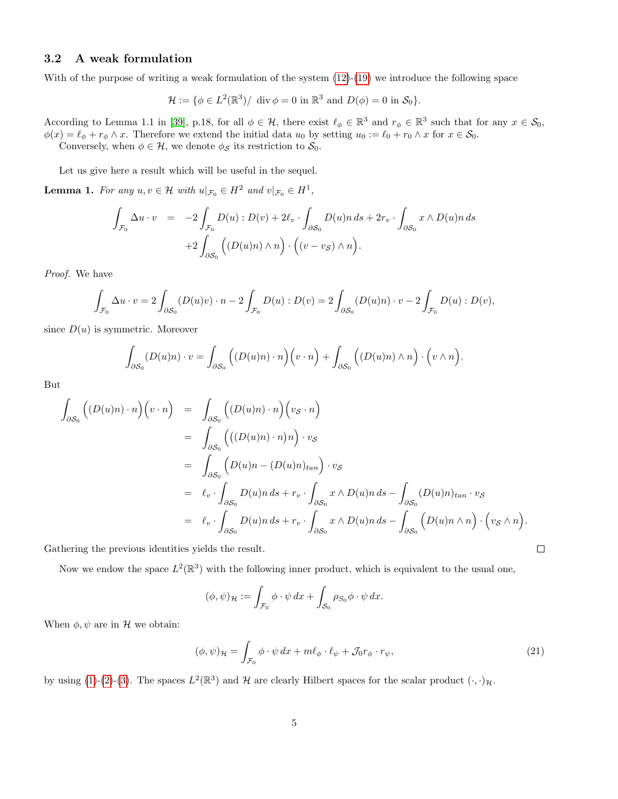#### <span id="page-4-2"></span>3.2 A weak formulation

With of the purpose of writing a weak formulation of the system  $(12)-(19)$  $(12)-(19)$  we introduce the following space

$$
\mathcal{H} := \{ \phi \in L^2(\mathbb{R}^3) / \text{ div } \phi = 0 \text{ in } \mathbb{R}^3 \text{ and } D(\phi) = 0 \text{ in } \mathcal{S}_0 \}.
$$

According to Lemma 1.1 in [\[39\]](#page-23-11), p.18, for all  $\phi \in \mathcal{H}$ , there exist  $\ell_{\phi} \in \mathbb{R}^{3}$  and  $r_{\phi} \in \mathbb{R}^{3}$  such that for any  $x \in \mathcal{S}_{0}$ ,  $\phi(x) = \ell_{\phi} + r_{\phi} \wedge x$ . Therefore we extend the initial data  $u_0$  by setting  $u_0 := \ell_0 + r_0 \wedge x$  for  $x \in \mathcal{S}_0$ .

Conversely, when  $\phi \in \mathcal{H}$ , we denote  $\phi_{\mathcal{S}}$  its restriction to  $\mathcal{S}_0$ .

Let us give here a result which will be useful in the sequel.

<span id="page-4-0"></span>**Lemma 1.** For any  $u, v \in \mathcal{H}$  with  $u|_{\mathcal{F}_0} \in H^2$  and  $v|_{\mathcal{F}_0} \in H^1$ ,

$$
\int_{\mathcal{F}_0} \Delta u \cdot v = -2 \int_{\mathcal{F}_0} D(u) : D(v) + 2\ell_v \cdot \int_{\partial S_0} D(u) n \, ds + 2r_v \cdot \int_{\partial S_0} x \wedge D(u) n \, ds
$$

$$
+ 2 \int_{\partial S_0} \left( (D(u)n) \wedge n \right) \cdot \left( (v - v_S) \wedge n \right).
$$

Proof. We have

$$
\int_{\mathcal{F}_0} \Delta u \cdot v = 2 \int_{\partial \mathcal{S}_0} (D(u)v) \cdot n - 2 \int_{\mathcal{F}_0} D(u) : D(v) = 2 \int_{\partial \mathcal{S}_0} (D(u)n) \cdot v - 2 \int_{\mathcal{F}_0} D(u) : D(v),
$$

since  $D(u)$  is symmetric. Moreover

$$
\int_{\partial S_0} (D(u)n) \cdot v = \int_{\partial S_0} \left( (D(u)n) \cdot n \right) \left( v \cdot n \right) + \int_{\partial S_0} \left( (D(u)n) \wedge n \right) \cdot \left( v \wedge n \right).
$$

But

$$
\int_{\partial S_0} \left( (D(u)n) \cdot n \right) \left( v \cdot n \right) = \int_{\partial S_0} \left( (D(u)n) \cdot n \right) \left( v_S \cdot n \right)
$$
\n
$$
= \int_{\partial S_0} \left( \left( (D(u)n) \cdot n \right)n \right) \cdot v_S
$$
\n
$$
= \int_{\partial S_0} \left( D(u)n - (D(u)n)_{tan} \right) \cdot v_S
$$
\n
$$
= \ell_v \cdot \int_{\partial S_0} D(u)n ds + r_v \cdot \int_{\partial S_0} x \wedge D(u)n ds - \int_{\partial S_0} (D(u)n)_{tan} \cdot v_S
$$
\n
$$
= \ell_v \cdot \int_{\partial S_0} D(u)n ds + r_v \cdot \int_{\partial S_0} x \wedge D(u)n ds - \int_{\partial S_0} \left( D(u)n \wedge n \right) \cdot \left( v_S \wedge n \right).
$$

Gathering the previous identities yields the result.

Now we endow the space  $L^2(\mathbb{R}^3)$  with the following inner product, which is equivalent to the usual one,

$$
(\phi, \psi)_{\mathcal{H}} := \int_{\mathcal{F}_0} \phi \cdot \psi \, dx + \int_{\mathcal{S}_0} \rho_{S_0} \phi \cdot \psi \, dx.
$$

When  $\phi, \psi$  are in H we obtain:

<span id="page-4-1"></span>
$$
(\phi, \psi)_{\mathcal{H}} = \int_{\mathcal{F}_0} \phi \cdot \psi \, dx + m\ell_{\phi} \cdot \ell_{\psi} + \mathcal{J}_0 r_{\phi} \cdot r_{\psi},\tag{21}
$$

 $\Box$ 

by using [\(1\)](#page-2-7)-[\(2\)](#page-2-8)-[\(3\)](#page-2-9). The spaces  $L^2(\mathbb{R}^3)$  and H are clearly Hilbert spaces for the scalar product  $(\cdot, \cdot)_{\mathcal{H}}$ .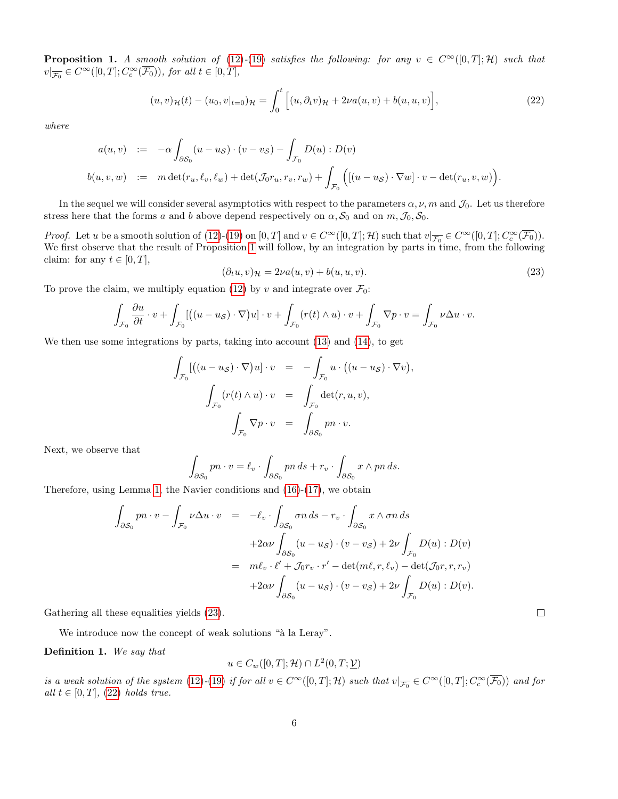<span id="page-5-0"></span>**Proposition 1.** A smooth solution of [\(12\)](#page-3-1)-[\(19\)](#page-3-2) satisfies the following: for any  $v \in C^{\infty}([0,T];\mathcal{H})$  such that  $v|_{\overline{\mathcal{F}_0}} \in C^{\infty}([0,T]; C_c^{\infty}(\overline{\mathcal{F}_0})),$  for all  $t \in [0,T],$ 

<span id="page-5-2"></span>
$$
(u,v)_{\mathcal{H}}(t) - (u_0,v|_{t=0})_{\mathcal{H}} = \int_0^t \Big[ (u,\partial_t v)_{\mathcal{H}} + 2\nu a(u,v) + b(u,u,v) \Big],\tag{22}
$$

where

$$
a(u,v) := -\alpha \int_{\partial S_0} (u - u_S) \cdot (v - v_S) - \int_{\mathcal{F}_0} D(u) : D(v)
$$
  

$$
b(u,v,w) := m \det(r_u, \ell_v, \ell_w) + \det(\mathcal{J}_0 r_u, r_v, r_w) + \int_{\mathcal{F}_0} \left( \left[ (u - u_S) \cdot \nabla w \right] \cdot v - \det(r_u, v, w) \right).
$$

In the sequel we will consider several asymptotics with respect to the parameters  $\alpha, \nu, m$  and  $\mathcal{J}_0$ . Let us therefore stress here that the forms a and b above depend respectively on  $\alpha$ ,  $S_0$  and on  $m, \mathcal{J}_0, S_0$ .

Proof. Let u be a smooth solution of [\(12\)](#page-3-1)-[\(19\)](#page-3-2) on  $[0, T]$  and  $v \in C^{\infty}([0, T]; \mathcal{H})$  such that  $v|_{\overline{\mathcal{F}_0}} \in C^{\infty}([0, T]; C_c^{\infty}(\overline{\mathcal{F}_0}))$ . We first observe that the result of Proposition [1](#page-5-0) will follow, by an integration by parts in time, from the following claim: for any  $t \in [0, T]$ ,

<span id="page-5-1"></span>
$$
(\partial_t u, v)_{\mathcal{H}} = 2\nu a(u, v) + b(u, u, v). \tag{23}
$$

To prove the claim, we multiply equation [\(12\)](#page-3-1) by v and integrate over  $\mathcal{F}_0$ :

$$
\int_{\mathcal{F}_0} \frac{\partial u}{\partial t} \cdot v + \int_{\mathcal{F}_0} [((u - u_S) \cdot \nabla)u] \cdot v + \int_{\mathcal{F}_0} (r(t) \wedge u) \cdot v + \int_{\mathcal{F}_0} \nabla p \cdot v = \int_{\mathcal{F}_0} \nu \Delta u \cdot v.
$$

We then use some integrations by parts, taking into account [\(13\)](#page-3-3) and [\(14\)](#page-3-4), to get

$$
\int_{\mathcal{F}_0} [((u - u_S) \cdot \nabla) u] \cdot v = - \int_{\mathcal{F}_0} u \cdot ((u - u_S) \cdot \nabla v),
$$

$$
\int_{\mathcal{F}_0} (r(t) \wedge u) \cdot v = \int_{\mathcal{F}_0} \det(r, u, v),
$$

$$
\int_{\mathcal{F}_0} \nabla p \cdot v = \int_{\partial S_0} p n \cdot v.
$$

Next, we observe that

$$
\int_{\partial S_0} pn \cdot v = \ell_v \cdot \int_{\partial S_0} pn ds + r_v \cdot \int_{\partial S_0} x \wedge pn ds.
$$

Therefore, using Lemma [1,](#page-4-0) the Navier conditions and  $(16)-(17)$  $(16)-(17)$ , we obtain

$$
\int_{\partial S_0} pn \cdot v - \int_{\mathcal{F}_0} \nu \Delta u \cdot v = -\ell_v \cdot \int_{\partial S_0} \sigma n \, ds - r_v \cdot \int_{\partial S_0} x \wedge \sigma n \, ds
$$

$$
+ 2\alpha \nu \int_{\partial S_0} (u - u_S) \cdot (v - v_S) + 2\nu \int_{\mathcal{F}_0} D(u) : D(v)
$$

$$
= m\ell_v \cdot \ell' + \mathcal{J}_0 r_v \cdot r' - \det(m\ell, r, \ell_v) - \det(\mathcal{J}_0 r, r, r_v)
$$

$$
+ 2\alpha \nu \int_{\partial S_0} (u - u_S) \cdot (v - v_S) + 2\nu \int_{\mathcal{F}_0} D(u) : D(v).
$$

Gathering all these equalities yields [\(23\)](#page-5-1).

We introduce now the concept of weak solutions "à la Leray".

#### Definition 1. We say that

$$
u \in C_w([0,T]; \mathcal{H}) \cap L^2(0,T; \underline{\mathcal{V}})
$$

is a weak solution of the system [\(12\)](#page-3-1)-[\(19\)](#page-3-2) if for all  $v \in C^{\infty}([0,T];\mathcal{H})$  such that  $v|_{\overline{\mathcal{F}_0}} \in C^{\infty}([0,T];C_c^{\infty}(\overline{\mathcal{F}_0}))$  and for all  $t \in [0, T]$ , [\(22\)](#page-5-2) holds true.

 $\Box$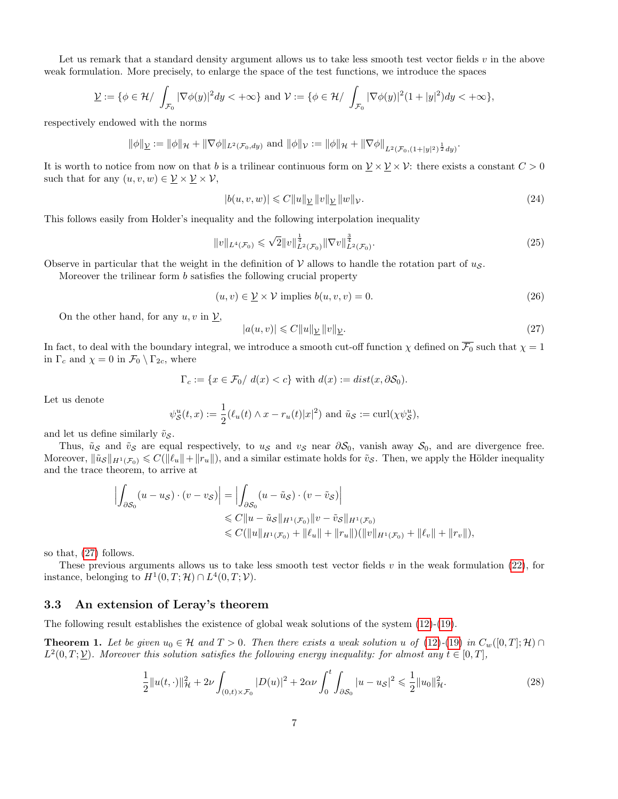Let us remark that a standard density argument allows us to take less smooth test vector fields  $v$  in the above weak formulation. More precisely, to enlarge the space of the test functions, we introduce the spaces

$$
\underline{\mathcal{V}} := \{ \phi \in \mathcal{H} / \int_{\mathcal{F}_0} |\nabla \phi(y)|^2 dy < +\infty \} \text{ and } \mathcal{V} := \{ \phi \in \mathcal{H} / \int_{\mathcal{F}_0} |\nabla \phi(y)|^2 (1 + |y|^2) dy < +\infty \},
$$

respectively endowed with the norms

$$
\|\phi\|_{\underline{\mathcal{V}}} := \|\phi\|_{\mathcal{H}} + \|\nabla\phi\|_{L^2(\mathcal{F}_0,dy)} \text{ and } \|\phi\|_{\mathcal{V}} := \|\phi\|_{\mathcal{H}} + \|\nabla\phi\|_{L^2(\mathcal{F}_0,(1+|y|^2)^{\frac{1}{2}}dy)}.
$$

It is worth to notice from now on that b is a trilinear continuous form on  $\underline{V} \times \underline{V} \times V$ : there exists a constant  $C > 0$ such that for any  $(u, v, w) \in \mathcal{V} \times \mathcal{V} \times \mathcal{V}$ ,

<span id="page-6-2"></span>
$$
|b(u,v,w)| \leqslant C||u||_{\mathcal{Y}}||v||_{\mathcal{Y}}||w||_{\mathcal{V}}.\tag{24}
$$

This follows easily from Holder's inequality and the following interpolation inequality

<span id="page-6-5"></span>
$$
||v||_{L^{4}(\mathcal{F}_{0})} \leqslant \sqrt{2}||v||_{L^{2}(\mathcal{F}_{0})}^{\frac{1}{4}}||\nabla v||_{L^{2}(\mathcal{F}_{0})}^{\frac{3}{4}}.
$$
\n(25)

Observe in particular that the weight in the definition of  $V$  allows to handle the rotation part of  $u<sub>S</sub>$ .

Moreover the trilinear form  $b$  satisfies the following crucial property

<span id="page-6-3"></span>
$$
(u, v) \in \underline{\mathcal{V}} \times \mathcal{V} \text{ implies } b(u, v, v) = 0. \tag{26}
$$

On the other hand, for any  $u, v$  in  $\underline{\mathcal{V}}$ ,

<span id="page-6-0"></span>
$$
|a(u,v)| \leqslant C \|u\|_{\underline{\mathcal{V}}}\|v\|_{\underline{\mathcal{V}}}.\tag{27}
$$

In fact, to deal with the boundary integral, we introduce a smooth cut-off function  $\chi$  defined on  $\overline{\mathcal{F}_0}$  such that  $\chi = 1$ in  $\Gamma_c$  and  $\chi = 0$  in  $\mathcal{F}_0 \setminus \Gamma_{2c}$ , where

$$
\Gamma_c := \{ x \in \mathcal{F}_0 / d(x) < c \} \text{ with } d(x) := dist(x, \partial \mathcal{S}_0).
$$

Let us denote

$$
\psi_{\mathcal{S}}^u(t,x) := \frac{1}{2} (\ell_u(t) \wedge x - r_u(t)|x|^2) \text{ and } \tilde{u}_{\mathcal{S}} := \text{curl}(\chi \psi_{\mathcal{S}}^u),
$$

and let us define similarly  $\tilde{v}_{\mathcal{S}}$ .

Thus,  $\tilde{u}_\mathcal{S}$  and  $\tilde{v}_\mathcal{S}$  are equal respectively, to  $u_\mathcal{S}$  and  $v_\mathcal{S}$  near  $\partial \mathcal{S}_0$ , vanish away  $\mathcal{S}_0$ , and are divergence free. Moreover,  $\|\tilde{u}_{\mathcal{S}}\|_{H^1(\mathcal{F}_0)} \leqslant C(\|\ell_u\|+\|r_u\|)$ , and a similar estimate holds for  $\tilde{v}_{\mathcal{S}}$ . Then, we apply the Hölder inequality and the trace theorem, to arrive at

$$
\left| \int_{\partial S_0} (u - u_{\mathcal{S}}) \cdot (v - v_{\mathcal{S}}) \right| = \left| \int_{\partial S_0} (u - \tilde{u}_{\mathcal{S}}) \cdot (v - \tilde{v}_{\mathcal{S}}) \right|
$$
  
\$\leq C ||u - \tilde{u}\_{\mathcal{S}}||\_{H^1(\mathcal{F}\_0)} ||v - \tilde{v}\_{\mathcal{S}}||\_{H^1(\mathcal{F}\_0)}  
\$\leq C (||u||\_{H^1(\mathcal{F}\_0)} + ||\ell\_u|| + ||r\_u||)(||v||\_{H^1(\mathcal{F}\_0)} + ||\ell\_v|| + ||r\_v||),

so that, [\(27\)](#page-6-0) follows.

These previous arguments allows us to take less smooth test vector fields  $v$  in the weak formulation [\(22\)](#page-5-2), for instance, belonging to  $H^1(0,T;\mathcal{H}) \cap L^4(0,T;\mathcal{V})$ .

#### <span id="page-6-6"></span>3.3 An extension of Leray's theorem

The following result establishes the existence of global weak solutions of the system [\(12\)](#page-3-1)-[\(19\)](#page-3-2).

<span id="page-6-1"></span>**Theorem 1.** Let be given  $u_0 \in \mathcal{H}$  and  $T > 0$ . Then there exists a weak solution u of [\(12\)](#page-3-1)-[\(19\)](#page-3-2) in  $C_w([0,T]; \mathcal{H}) \cap$  $L^2(0,T;\underline{\mathcal{V}})$ . Moreover this solution satisfies the following energy inequality: for almost any  $t \in [0,T]$ ,

<span id="page-6-4"></span>
$$
\frac{1}{2}||u(t, \cdot)||_{\mathcal{H}}^{2} + 2\nu \int_{(0, t) \times \mathcal{F}_{0}} |D(u)|^{2} + 2\alpha\nu \int_{0}^{t} \int_{\partial S_{0}} |u - u_{\mathcal{S}}|^{2} \leq \frac{1}{2}||u_{0}||_{\mathcal{H}}^{2}.
$$
\n(28)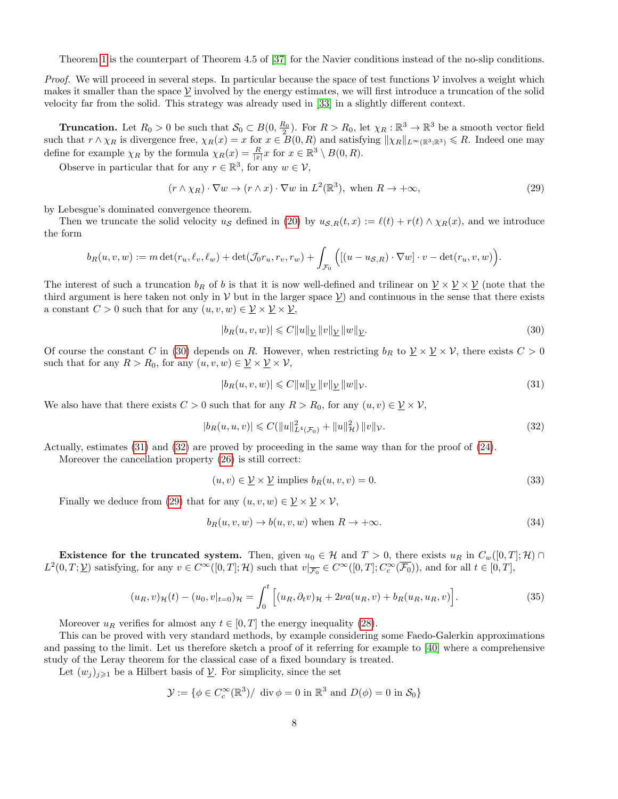Theorem [1](#page-6-1) is the counterpart of Theorem 4.5 of [\[37\]](#page-23-4) for the Navier conditions instead of the no-slip conditions.

*Proof.* We will proceed in several steps. In particular because the space of test functions  $\mathcal V$  involves a weight which makes it smaller than the space  $\underline{V}$  involved by the energy estimates, we will first introduce a truncation of the solid velocity far from the solid. This strategy was already used in [\[33\]](#page-23-1) in a slightly different context.

**Truncation.** Let  $R_0 > 0$  be such that  $S_0 \subset B(0, \frac{R_0}{2})$ . For  $R > R_0$ , let  $\chi_R : \mathbb{R}^3 \to \mathbb{R}^3$  be a smooth vector field such that  $r \wedge \chi_R$  is divergence free,  $\chi_R(x) = x$  for  $x \in B(0,R)$  and satisfying  $\|\chi_R\|_{L^\infty(\mathbb{R}^3;\mathbb{R}^3)} \le R$ . Indeed one may define for example  $\chi_R$  by the formula  $\chi_R(x) = \frac{R}{|x|} x$  for  $x \in \mathbb{R}^3 \setminus B(0, R)$ .

Observe in particular that for any  $r \in \mathbb{R}^3$ , for any  $w \in \mathcal{V}$ ,

<span id="page-7-3"></span>
$$
(r \wedge \chi_R) \cdot \nabla w \to (r \wedge x) \cdot \nabla w \text{ in } L^2(\mathbb{R}^3), \text{ when } R \to +\infty,
$$
\n
$$
(29)
$$

by Lebesgue's dominated convergence theorem.

Then we truncate the solid velocity  $u_{\mathcal{S}}$  defined in [\(20\)](#page-3-7) by  $u_{\mathcal{S},R}(t,x) := \ell(t) + r(t) \wedge \chi_R(x)$ , and we introduce the form

$$
b_R(u, v, w) := m \det(r_u, \ell_v, \ell_w) + \det(\mathcal{J}_0 r_u, r_v, r_w) + \int_{\mathcal{F}_0} \Big( [(u - u_{\mathcal{S}, R}) \cdot \nabla w] \cdot v - \det(r_u, v, w) \Big).
$$

The interest of such a truncation  $b_R$  of b is that it is now well-defined and trilinear on  $\underline{V} \times \underline{V} \times \underline{V}$  (note that the third argument is here taken not only in V but in the larger space  $\nu$ ) and continuous in the sense that there exists a constant  $C > 0$  such that for any  $(u, v, w) \in \underline{\mathcal{V}} \times \underline{\mathcal{V}} \times \underline{\mathcal{V}}$ ,

<span id="page-7-0"></span>
$$
|b_R(u, v, w)| \leq C \|u\|_{\mathcal{V}} \|v\|_{\mathcal{V}} \|w\|_{\mathcal{V}}.
$$
\n
$$
(30)
$$

Of course the constant C in [\(30\)](#page-7-0) depends on R. However, when restricting  $b_R$  to  $\underline{V} \times \underline{V} \times \overline{V}$ , there exists  $C > 0$ such that for any  $R > R_0$ , for any  $(u, v, w) \in \underline{\mathcal{V}} \times \underline{\mathcal{V}} \times \mathcal{V}$ ,

<span id="page-7-1"></span>
$$
|b_R(u, v, w)| \leq C ||u||_{\mathcal{V}} ||v||_{\mathcal{V}} ||w||_{\mathcal{V}}.
$$
\n
$$
(31)
$$

We also have that there exists  $C > 0$  such that for any  $R > R_0$ , for any  $(u, v) \in \underline{\mathcal{V}} \times \mathcal{V}$ ,

<span id="page-7-2"></span>
$$
|b_R(u, u, v)| \leqslant C(||u||^2_{L^4(\mathcal{F}_0)} + ||u||^2_{\mathcal{H}}) ||v||_{\mathcal{V}}.
$$
\n(32)

Actually, estimates [\(31\)](#page-7-1) and [\(32\)](#page-7-2) are proved by proceeding in the same way than for the proof of [\(24\)](#page-6-2).

Moreover the cancellation property [\(26\)](#page-6-3) is still correct:

<span id="page-7-4"></span>
$$
(u, v) \in \underline{\mathcal{V}} \times \underline{\mathcal{V}} \text{ implies } b_R(u, v, v) = 0. \tag{33}
$$

Finally we deduce from [\(29\)](#page-7-3) that for any  $(u, v, w) \in \underline{\mathcal{V}} \times \underline{\mathcal{V}} \times \mathcal{V}$ ,

<span id="page-7-6"></span>
$$
b_R(u, v, w) \to b(u, v, w) \text{ when } R \to +\infty. \tag{34}
$$

Existence for the truncated system. Then, given  $u_0 \in \mathcal{H}$  and  $T > 0$ , there exists  $u_R$  in  $C_w([0,T]; \mathcal{H}) \cap$  $L^2(0,T;\underline{\mathcal{V}})$  satisfying, for any  $v \in C^{\infty}([0,T];\mathcal{H})$  such that  $v|_{\overline{\mathcal{F}_0}} \in C^{\infty}([0,T];C^{\infty}_c(\overline{\mathcal{F}_0}))$ , and for all  $t \in [0,T]$ ,

<span id="page-7-5"></span>
$$
(u_R, v)_{\mathcal{H}}(t) - (u_0, v|_{t=0})_{\mathcal{H}} = \int_0^t \left[ (u_R, \partial_t v)_{\mathcal{H}} + 2\nu a(u_R, v) + b_R(u_R, u_R, v) \right].
$$
 (35)

Moreover  $u_R$  verifies for almost any  $t \in [0, T]$  the energy inequality [\(28\)](#page-6-4).

This can be proved with very standard methods, by example considering some Faedo-Galerkin approximations and passing to the limit. Let us therefore sketch a proof of it referring for example to [\[40\]](#page-23-12) where a comprehensive study of the Leray theorem for the classical case of a fixed boundary is treated.

Let  $(w_i)_{i\geqslant 1}$  be a Hilbert basis of  $\underline{V}$ . For simplicity, since the set

$$
\mathcal{Y} := \{ \phi \in C_c^{\infty}(\mathbb{R}^3) / \text{ div } \phi = 0 \text{ in } \mathbb{R}^3 \text{ and } D(\phi) = 0 \text{ in } \mathcal{S}_0 \}
$$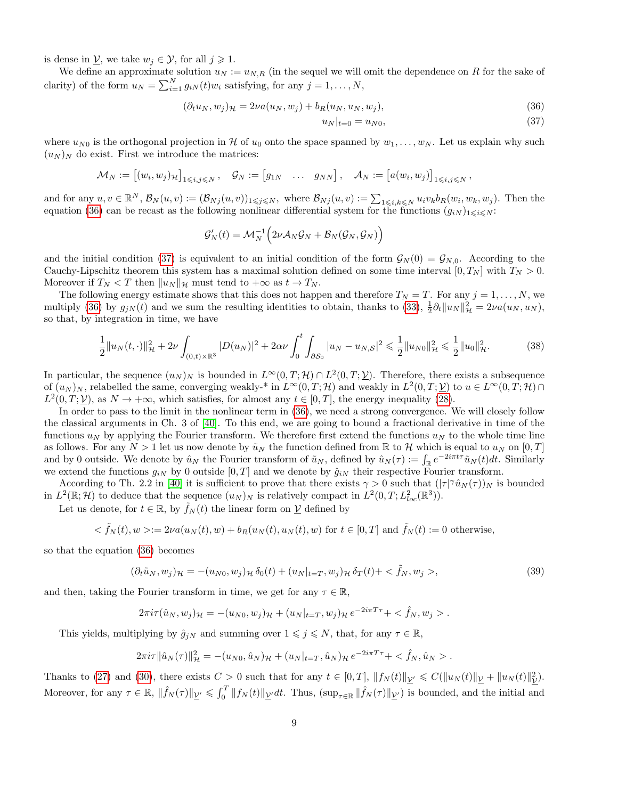is dense in  $\underline{V}$ , we take  $w_j \in \mathcal{Y}$ , for all  $j \geqslant 1$ .

We define an approximate solution  $u_N := u_{N,R}$  (in the sequel we will omit the dependence on R for the sake of clarity) of the form  $u_N = \sum_{i=1}^N g_{iN}(t)w_i$  satisfying, for any  $j = 1, ..., N$ ,

<span id="page-8-0"></span>
$$
(\partial_t u_N, w_j)_{\mathcal{H}} = 2\nu a(u_N, w_j) + b_R(u_N, u_N, w_j),\tag{36}
$$

$$
u_N|_{t=0} = u_{N0},\tag{37}
$$

where  $u_{N0}$  is the orthogonal projection in H of  $u_0$  onto the space spanned by  $w_1, \ldots, w_N$ . Let us explain why such  $(u_N)_N$  do exist. First we introduce the matrices:

$$
\mathcal{M}_N := \big[ (w_i, w_j)_{\mathcal{H}} \big]_{1 \leqslant i,j \leqslant N}, \quad \mathcal{G}_N := \big[ g_{1N} \quad \dots \quad g_{NN} \big], \quad \mathcal{A}_N := \big[ a(w_i, w_j) \big]_{1 \leqslant i,j \leqslant N},
$$

and for any  $u, v \in \mathbb{R}^N$ ,  $\mathcal{B}_N(u, v) := (\mathcal{B}_{N_j}(u, v))_{1 \leqslant j \leqslant N}$ , where  $\mathcal{B}_{N_j}(u, v) := \sum_{1 \leqslant i,k \leqslant N} u_i v_k b_R(w_i, w_k, w_j)$ . Then the equation [\(36\)](#page-8-0) can be recast as the following nonlinear differential system for the functions  $(g_{iN})_{1\leqslant i\leqslant N}$ :

$$
\mathcal{G}'_N(t) = \mathcal{M}_N^{-1} \Big( 2 \nu \mathcal{A}_N \mathcal{G}_N + \mathcal{B}_N (\mathcal{G}_N, \mathcal{G}_N) \Big)
$$

and the initial condition [\(37\)](#page-8-0) is equivalent to an initial condition of the form  $\mathcal{G}_N(0) = \mathcal{G}_{N,0}$ . According to the Cauchy-Lipschitz theorem this system has a maximal solution defined on some time interval  $[0, T_N]$  with  $T_N > 0$ . Moreover if  $T_N < T$  then  $||u_N||_{\mathcal{H}}$  must tend to  $+\infty$  as  $t \to T_N$ .

The following energy estimate shows that this does not happen and therefore  $T_N = T$ . For any  $j = 1, \ldots, N$ , we multiply [\(36\)](#page-8-0) by  $g_{jN}(t)$  and we sum the resulting identities to obtain, thanks to [\(33\)](#page-7-4),  $\frac{1}{2}\partial_t ||u_N||^2_{\mathcal{H}} = 2\nu a(u_N, u_N)$ , so that, by integration in time, we have

$$
\frac{1}{2}||u_N(t,\cdot)||_{\mathcal{H}}^2 + 2\nu \int_{(0,t)\times\mathbb{R}^3} |D(u_N)|^2 + 2\alpha\nu \int_0^t \int_{\partial S_0} |u_N - u_{N,S}|^2 \leq \frac{1}{2}||u_{N0}||_{\mathcal{H}}^2 \leq \frac{1}{2}||u_0||_{\mathcal{H}}^2. \tag{38}
$$

In particular, the sequence  $(u_N)_N$  is bounded in  $L^{\infty}(0,T;\mathcal{H}) \cap L^2(0,T;\mathcal{V})$ . Therefore, there exists a subsequence of  $(u_N)_N$ , relabelled the same, converging weakly-\* in  $L^{\infty}(0,T;\mathcal{H})$  and weakly in  $L^2(0,T;\mathcal{V})$  to  $u \in L^{\infty}(0,T;\mathcal{H}) \cap$  $L^2(0,T;\mathcal{V})$ , as  $N \to +\infty$ , which satisfies, for almost any  $t \in [0,T]$ , the energy inequality [\(28\)](#page-6-4).

In order to pass to the limit in the nonlinear term in [\(36\)](#page-8-0), we need a strong convergence. We will closely follow the classical arguments in Ch. 3 of [\[40\]](#page-23-12). To this end, we are going to bound a fractional derivative in time of the functions  $u_N$  by applying the Fourier transform. We therefore first extend the functions  $u_N$  to the whole time line as follows. For any  $N > 1$  let us now denote by  $\tilde{u}_N$  the function defined from R to H which is equal to  $u_N$  on  $[0, T]$ and by 0 outside. We denote by  $\hat{u}_N$  the Fourier transform of  $\tilde{u}_N$ , defined by  $\hat{u}_N(\tau) := \int_{\mathbb{R}} e^{-2i\pi t \tau} \tilde{u}_N(t) dt$ . Similarly we extend the functions  $g_{iN}$  by 0 outside [0, T] and we denote by  $\hat{g}_{iN}$  their respective Fourier transform.

According to Th. 2.2 in [\[40\]](#page-23-12) it is sufficient to prove that there exists  $\gamma > 0$  such that  $(|\tau|^{\gamma} \hat{u}_N(\tau))_N$  is bounded in  $L^2(\mathbb{R}; \mathcal{H})$  to deduce that the sequence  $(u_N)_N$  is relatively compact in  $L^2(0,T; L^2_{loc}(\mathbb{R}^3))$ .

Let us denote, for  $t \in \mathbb{R}$ , by  $f_N(t)$  the linear form on  $\underline{V}$  defined by

$$
\langle \tilde{f}_N(t), w \rangle := 2\nu a(u_N(t), w) + b_R(u_N(t), u_N(t), w)
$$
 for  $t \in [0, T]$  and  $\tilde{f}_N(t) := 0$  otherwise,

so that the equation [\(36\)](#page-8-0) becomes

$$
(\partial_t \tilde{u}_N, w_j)_{\mathcal{H}} = -(u_{N0}, w_j)_{\mathcal{H}} \delta_0(t) + (u_N|_{t=T}, w_j)_{\mathcal{H}} \delta_T(t) + \langle \tilde{f}_N, w_j \rangle, \tag{39}
$$

and then, taking the Fourier transform in time, we get for any  $\tau \in \mathbb{R}$ ,

$$
2\pi i \tau(\hat{u}_N, w_j)_{\mathcal{H}} = -(u_{N0}, w_j)_{\mathcal{H}} + (u_N|_{t=T}, w_j)_{\mathcal{H}} e^{-2i\pi T \tau} + \langle \hat{f}_N, w_j \rangle.
$$

This yields, multiplying by  $\hat{g}_{jN}$  and summing over  $1 \leq j \leq N$ , that, for any  $\tau \in \mathbb{R}$ ,

$$
2\pi i \tau \|\hat{u}_N(\tau)\|_{\mathcal{H}}^2 = -(u_{N0}, \hat{u}_N)_{\mathcal{H}} + (u_N|_{t=T}, \hat{u}_N)_{\mathcal{H}} e^{-2i\pi T \tau} + \langle \hat{f}_N, \hat{u}_N \rangle.
$$

Thanks to [\(27\)](#page-6-0) and [\(30\)](#page-7-0), there exists  $C > 0$  such that for any  $t \in [0,T]$ ,  $||f_N(t)||_{\underline{\mathcal{V}}} \leq C(||u_N(t)||_{\underline{\mathcal{V}}} + ||u_N(t)||_{\underline{\mathcal{V}}}^2)$ . Moreover, for any  $\tau \in \mathbb{R}$ ,  $\|\hat{f}_N(\tau)\|_{\underline{\mathcal{V}}'} \leqslant \int_0^T \|f_N(t)\|_{\underline{\mathcal{V}}'} dt$ . Thus,  $(\sup_{\tau \in \mathbb{R}} \|\hat{f}_N(\tau)\|_{\underline{\mathcal{V}}'})$  is bounded, and the initial and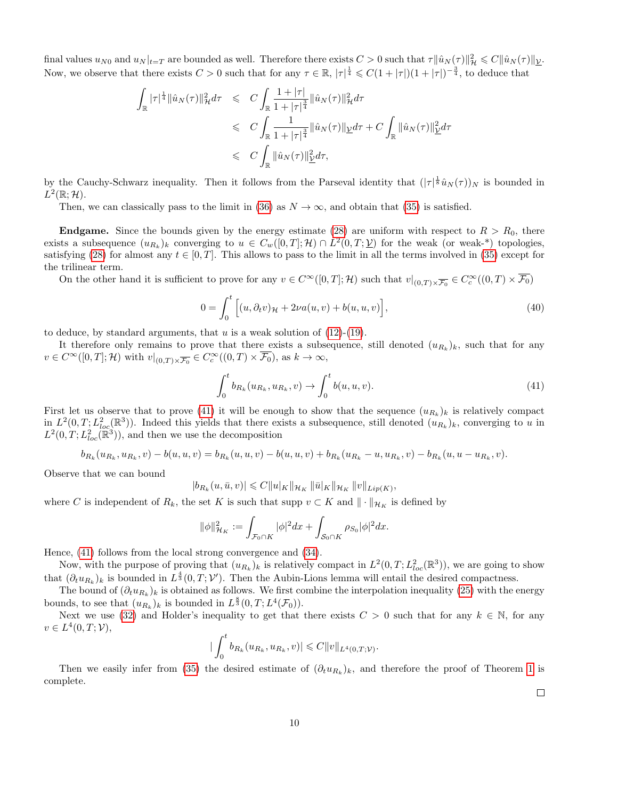final values  $u_{N0}$  and  $u_N|_{t=T}$  are bounded as well. Therefore there exists  $C > 0$  such that  $\tau \|\hat{u}_N(\tau)\|_{\mathcal{H}}^2 \leqslant C \|\hat{u}_N(\tau)\|_{\mathcal{L}}^2$ . Now, we observe that there exists  $C > 0$  such that for any  $\tau \in \mathbb{R}$ ,  $|\tau|^{\frac{1}{4}} \leqslant C(1+|\tau|)(1+|\tau|)^{-\frac{3}{4}}$ , to deduce that

$$
\int_{\mathbb{R}} |\tau|^{\frac{1}{4}} \|\hat{u}_N(\tau)\|_{\mathcal{H}}^2 d\tau \leq C \int_{\mathbb{R}} \frac{1 + |\tau|}{1 + |\tau|^{\frac{3}{4}}} \|\hat{u}_N(\tau)\|_{\mathcal{H}}^2 d\tau \leq C \int_{\mathbb{R}} \frac{1}{1 + |\tau|^{\frac{3}{4}}} \|\hat{u}_N(\tau)\|_{\mathcal{L}} d\tau + C \int_{\mathbb{R}} \|\hat{u}_N(\tau)\|_{\mathcal{L}}^2 d\tau \leq C \int_{\mathbb{R}} \|\hat{u}_N(\tau)\|_{\mathcal{L}}^2 d\tau,
$$

by the Cauchy-Schwarz inequality. Then it follows from the Parseval identity that  $(|\tau|^{\frac{1}{8}}\hat{u}_N(\tau))_N$  is bounded in  $L^2(\mathbb{R};\mathcal{H}).$ 

Then, we can classically pass to the limit in [\(36\)](#page-8-0) as  $N \to \infty$ , and obtain that [\(35\)](#page-7-5) is satisfied.

**Endgame.** Since the bounds given by the energy estimate [\(28\)](#page-6-4) are uniform with respect to  $R > R_0$ , there exists a subsequence  $(u_{R_k})_k$  converging to  $u \in C_w([0,T]; \mathcal{H}) \cap L^2(0,T; \underline{\mathcal{V}})$  for the weak (or weak-\*) topologies, satisfying [\(28\)](#page-6-4) for almost any  $t \in [0, T]$ . This allows to pass to the limit in all the terms involved in [\(35\)](#page-7-5) except for the trilinear term.

On the other hand it is sufficient to prove for any  $v \in C^{\infty}([0,T];\mathcal{H})$  such that  $v|_{(0,T)\times\overline{\mathcal{F}_0}} \in C_c^{\infty}((0,T)\times\overline{\mathcal{F}_0})$ 

$$
0 = \int_0^t \left[ (u, \partial_t v)_\mathcal{H} + 2\nu a(u, v) + b(u, u, v) \right],\tag{40}
$$

to deduce, by standard arguments, that  $u$  is a weak solution of  $(12)-(19)$  $(12)-(19)$ .

It therefore only remains to prove that there exists a subsequence, still denoted  $(u_{R_k})_k$ , such that for any  $v \in C^{\infty}([0,T];\mathcal{H})$  with  $v|_{(0,T)\times\overline{\mathcal{F}_0}} \in C_c^{\infty}((0,T)\times\overline{\mathcal{F}_0})$ , as  $k \to \infty$ ,

<span id="page-9-0"></span>
$$
\int_0^t b_{R_k}(u_{R_k}, u_{R_k}, v) \to \int_0^t b(u, u, v).
$$
\n(41)

First let us observe that to prove [\(41\)](#page-9-0) it will be enough to show that the sequence  $(u_{R_k})_k$  is relatively compact in  $L^2(0,T; L^2_{loc}(\mathbb{R}^3))$ . Indeed this yields that there exists a subsequence, still denoted  $(u_{R_k})_k$ , converging to u in  $L^2(0,T; L^2_{loc}(\mathbb{R}^3))$ , and then we use the decomposition

$$
b_{R_k}(u_{R_k}, u_{R_k}, v) - b(u, u, v) = b_{R_k}(u, u, v) - b(u, u, v) + b_{R_k}(u_{R_k} - u, u_{R_k}, v) - b_{R_k}(u, u - u_{R_k}, v).
$$

Observe that we can bound

$$
|b_{R_k}(u, \bar{u}, v)| \leq C ||u|_K ||_{\mathcal{H}_K} ||\bar{u}|_K ||_{\mathcal{H}_K} ||v||_{Lip(K)},
$$

where C is independent of  $R_k$ , the set K is such that supp  $v \subset K$  and  $\|\cdot\|_{\mathcal{H}_K}$  is defined by

$$
\|\phi\|_{\mathcal{H}_K}^2 := \int_{\mathcal{F}_0 \cap K} |\phi|^2 dx + \int_{\mathcal{S}_0 \cap K} \rho_{S_0} |\phi|^2 dx.
$$

Hence, [\(41\)](#page-9-0) follows from the local strong convergence and [\(34\)](#page-7-6).

Now, with the purpose of proving that  $(u_{R_k})_k$  is relatively compact in  $L^2(0,T; L^2_{loc}(\mathbb{R}^3))$ , we are going to show that  $(\partial_t u_{R_k})_k$  is bounded in  $L^{\frac{4}{3}}(0,T; \mathcal{V}')$ . Then the Aubin-Lions lemma will entail the desired compactness.

The bound of  $(\partial_t u_{R_k})_k$  is obtained as follows. We first combine the interpolation inequality [\(25\)](#page-6-5) with the energy bounds, to see that  $(u_{R_k})_k$  is bounded in  $L^{\frac{8}{3}}(0,T;L^4(\mathcal{F}_0))$ .

Next we use [\(32\)](#page-7-2) and Holder's inequality to get that there exists  $C > 0$  such that for any  $k \in \mathbb{N}$ , for any  $v \in L^4(0,T; \mathcal{V}),$ 

$$
|\int_0^t b_{R_k}(u_{R_k}, u_{R_k}, v)| \leqslant C ||v||_{L^4(0,T; \mathcal{V})}.
$$

Then we easily infer from [\(35\)](#page-7-5) the desired estimate of  $(\partial_t u_{R_k})_k$ , and therefore the proof of Theorem [1](#page-6-1) is complete.

 $\Box$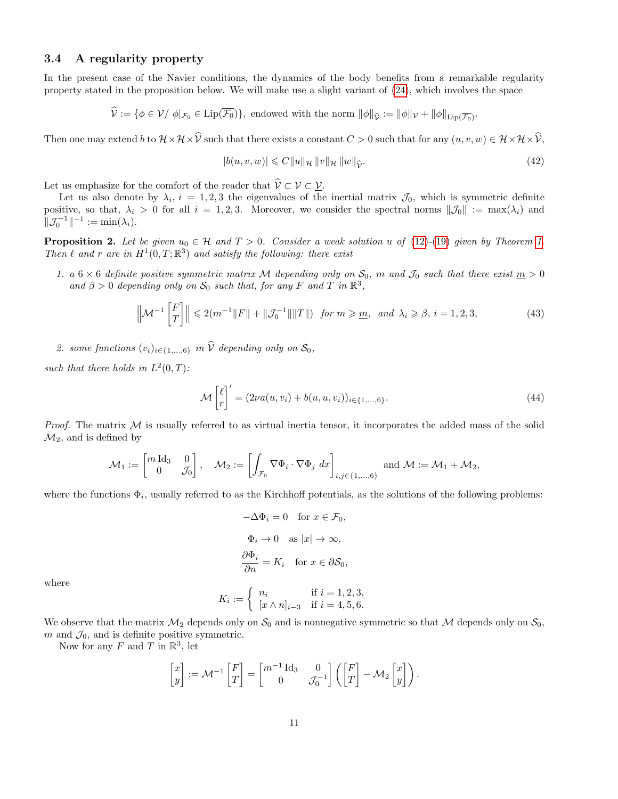### <span id="page-10-4"></span>3.4 A regularity property

In the present case of the Navier conditions, the dynamics of the body benefits from a remarkable regularity property stated in the proposition below. We will make use a slight variant of [\(24\)](#page-6-2), which involves the space

$$
\widehat{\mathcal{V}} := \{ \phi \in \mathcal{V} / \phi |_{\mathcal{F}_0} \in \text{Lip}(\overline{\mathcal{F}_0}) \}, \text{ endowed with the norm } ||\phi||_{\widehat{\mathcal{V}}} := ||\phi||_{\mathcal{V}} + ||\phi||_{\text{Lip}(\overline{\mathcal{F}_0})}.
$$

Then one may extend b to  $\mathcal{H} \times \mathcal{H} \times \hat{\mathcal{V}}$  such that there exists a constant  $C > 0$  such that for any  $(u, v, w) \in \mathcal{H} \times \mathcal{H} \times \hat{\mathcal{V}}$ ,

<span id="page-10-2"></span>
$$
|b(u, v, w)| \leq C ||u||_{\mathcal{H}} ||v||_{\mathcal{H}} ||w||_{\widehat{\mathcal{V}}}.
$$
\n
$$
(42)
$$

Let us emphasize for the comfort of the reader that  $\hat{\mathcal{V}} \subset \mathcal{V} \subset \mathcal{V}$ .

Let us also denote by  $\lambda_i$ ,  $i = 1, 2, 3$  the eigenvalues of the inertial matrix  $\mathcal{J}_0$ , which is symmetric definite positive, so that,  $\lambda_i > 0$  for all  $i = 1, 2, 3$ . Moreover, we consider the spectral norms  $\|\mathcal{J}_0\| := \max(\lambda_i)$  and  $||\mathcal{J}_0^{-1}||^{-1} := \min(\lambda_i).$ 

<span id="page-10-3"></span>**Proposition 2.** Let be given  $u_0 \in \mathcal{H}$  and  $T > 0$ . Consider a weak solution u of [\(12\)](#page-3-1)-[\(19\)](#page-3-2) given by Theorem [1.](#page-6-1) Then  $\ell$  and r are in  $H^1(0,T;\mathbb{R}^3)$  and satisfy the following: there exist

1. a  $6 \times 6$  definite positive symmetric matrix M depending only on  $S_0$ , m and  $\mathcal{J}_0$  such that there exist  $m > 0$ and  $\beta > 0$  depending only on  $S_0$  such that, for any F and T in  $\mathbb{R}^3$ ,

<span id="page-10-0"></span>
$$
\left\| \mathcal{M}^{-1} \left[ \frac{F}{T} \right] \right\| \leq 2(m^{-1} \| F \| + \| \mathcal{J}_0^{-1} \| \| T \|) \text{ for } m \geq m, \text{ and } \lambda_i \geq \beta, i = 1, 2, 3,
$$
 (43)

2. some functions  $(v_i)_{i\in\{1,\ldots,6\}}$  in  $\widehat{\mathcal{V}}$  depending only on  $\mathcal{S}_0$ ,

such that there holds in  $L^2(0,T)$ :

<span id="page-10-1"></span>
$$
\mathcal{M}\begin{bmatrix} \ell \\ r \end{bmatrix}' = (2\nu a(u, v_i) + b(u, u, v_i))_{i \in \{1, ..., 6\}}.
$$
\n(44)

*Proof.* The matrix  $M$  is usually referred to as virtual inertia tensor, it incorporates the added mass of the solid  $\mathcal{M}_2$ , and is defined by

$$
\mathcal{M}_1 := \begin{bmatrix} m \, \mathrm{Id}_3 & 0 \\ 0 & \mathcal{J}_0 \end{bmatrix}, \quad \mathcal{M}_2 := \left[ \int_{\mathcal{F}_0} \nabla \Phi_i \cdot \nabla \Phi_j \, dx \right]_{i,j \in \{1,\dots,6\}} \text{ and } \mathcal{M} := \mathcal{M}_1 + \mathcal{M}_2,
$$

where the functions  $\Phi_i$ , usually referred to as the Kirchhoff potentials, as the solutions of the following problems:

$$
-\Delta\Phi_i = 0 \text{ for } x \in \mathcal{F}_0,
$$
  

$$
\Phi_i \to 0 \text{ as } |x| \to \infty,
$$
  

$$
\frac{\partial \Phi_i}{\partial n} = K_i \text{ for } x \in \partial \mathcal{S}_0,
$$

where

We observe that the matrix 
$$
\mathcal{M}_2
$$
 depends only on  $\mathcal{S}_0$  and is nonnegative symmetric so that  $\mathcal{M}$  depends only on  $\mathcal{S}_0$ ,  $m$  and  $\mathcal{J}_0$ , and is definite positive symmetric.

 $K_i := \begin{cases} n_i & \text{if } i = 1, 2, 3, \\ \begin{bmatrix} \alpha & \beta \end{bmatrix} & \text{if } i = 1, 2, 3, \end{cases}$ 

 $[x \wedge n]_{i=3}$  if  $i = 4, 5, 6$ .

Now for any F and T in  $\mathbb{R}^3$ , let

$$
\begin{bmatrix} x \\ y \end{bmatrix} := \mathcal{M}^{-1} \begin{bmatrix} F \\ T \end{bmatrix} = \begin{bmatrix} m^{-1} \operatorname{Id}_3 & 0 \\ 0 & \mathcal{J}_0^{-1} \end{bmatrix} \left( \begin{bmatrix} F \\ T \end{bmatrix} - \mathcal{M}_2 \begin{bmatrix} x \\ y \end{bmatrix} \right).
$$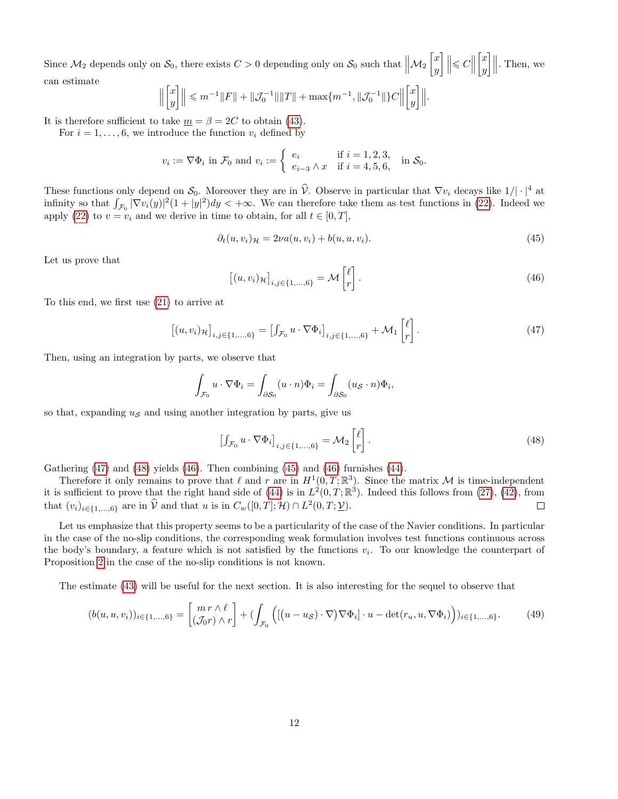Since  $\mathcal{M}_2$  depends only on  $\mathcal{S}_0$ , there exists  $C > 0$  depending only on  $\mathcal{S}_0$  such that  $\left\| \mathcal{M}_2 \right\|_y^x$  $\hat{y}$  $\Big] \, \Big\| \leqslant C \, \Big\|$  $\lceil x \rceil$  $\hat{y}$  $\Big] \Big\|$ . Then, we can estimate

$$
\left\| \begin{bmatrix} x \\ y \end{bmatrix} \right\| \leqslant m^{-1} \|F\| + \|\mathcal{J}_0^{-1}\| \|T\| + \max\{m^{-1}, \|\mathcal{J}_0^{-1}\| \} C \Big\| \begin{bmatrix} x \\ y \end{bmatrix} \Big\|.
$$

It is therefore sufficient to take  $m = \beta = 2C$  to obtain [\(43\)](#page-10-0).

For  $i = 1, \ldots, 6$ , we introduce the function  $v_i$  defined by

$$
v_i := \nabla \Phi_i \text{ in } \mathcal{F}_0 \text{ and } v_i := \begin{cases} e_i & \text{if } i = 1, 2, 3, \\ e_{i-3} \wedge x & \text{if } i = 4, 5, 6, \end{cases} \text{ in } \mathcal{S}_0.
$$

These functions only depend on  $S_0$ . Moreover they are in  $\hat{V}$ . Observe in particular that  $\nabla v_i$  decays like  $1/|\cdot|^4$  at infinity so that  $\int_{\mathcal{F}_0} |\nabla v_i(y)|^2 (1 + |y|^2) dy < +\infty$ . We can therefore take them as test functions in [\(22\)](#page-5-2). Indeed we apply [\(22\)](#page-5-2) to  $v = v_i$  and we derive in time to obtain, for all  $t \in [0, T]$ ,

<span id="page-11-3"></span>
$$
\partial_t(u, v_i)_{\mathcal{H}} = 2\nu a(u, v_i) + b(u, u, v_i). \tag{45}
$$

Let us prove that

<span id="page-11-2"></span>
$$
[(u, v_i)_{\mathcal{H}}]_{i,j \in \{1,\ldots,6\}} = \mathcal{M}\begin{bmatrix} \ell \\ r \end{bmatrix}.
$$
 (46)

To this end, we first use [\(21\)](#page-4-1) to arrive at

<span id="page-11-0"></span>
$$
[(u, v_i)_{\mathcal{H}}]_{i,j \in \{1,\dots,6\}} = [f_{\mathcal{F}_0} u \cdot \nabla \Phi_i]_{i,j \in \{1,\dots,6\}} + \mathcal{M}_1 \begin{bmatrix} \ell \\ r \end{bmatrix}.
$$
 (47)

Then, using an integration by parts, we observe that

$$
\int_{\mathcal{F}_0} u \cdot \nabla \Phi_i = \int_{\partial \mathcal{S}_0} (u \cdot n) \Phi_i = \int_{\partial \mathcal{S}_0} (u_{\mathcal{S}} \cdot n) \Phi_i,
$$

so that, expanding  $u<sub>S</sub>$  and using another integration by parts, give us

<span id="page-11-1"></span>
$$
\left[\int_{\mathcal{F}_0} u \cdot \nabla \Phi_i\right]_{i,j \in \{1,\dots,6\}} = \mathcal{M}_2 \begin{bmatrix} \ell \\ r \end{bmatrix} . \tag{48}
$$

Gathering  $(47)$  and  $(48)$  yields  $(46)$ . Then combining  $(45)$  and  $(46)$  furnishes  $(44)$ .

Therefore it only remains to prove that  $\ell$  and r are in  $H^1(0,T;\mathbb{R}^3)$ . Since the matrix M is time-independent it is sufficient to prove that the right hand side of [\(44\)](#page-10-1) is in  $L^2(0,T;\mathbb{R}^3)$ . Indeed this follows from [\(27\)](#page-6-0), [\(42\)](#page-10-2), from that  $(v_i)_{i \in \{1,\ldots,6\}}$  are in  $\hat{V}$  and that u is in  $C_w([0,T]; \mathcal{H}) \cap L^2(0,T; \underline{\mathcal{V}})$ .  $\Box$ 

Let us emphasize that this property seems to be a particularity of the case of the Navier conditions. In particular in the case of the no-slip conditions, the corresponding weak formulation involves test functions continuous across the body's boundary, a feature which is not satisfied by the functions  $v_i$ . To our knowledge the counterpart of Proposition [2](#page-10-3) in the case of the no-slip conditions is not known.

The estimate [\(43\)](#page-10-0) will be useful for the next section. It is also interesting for the sequel to observe that

<span id="page-11-4"></span>
$$
(b(u,u,v_i))_{i\in\{1,\ldots,6\}} = \begin{bmatrix} m\,r\wedge\ell \\ (\mathcal{J}_0r)\wedge r \end{bmatrix} + (\int_{\mathcal{F}_0} \left( \left[ (u-u_{\mathcal{S}})\cdot\nabla\right)\nabla\Phi_i \right] \cdot u - \det(r_u,u,\nabla\Phi_i) \right))_{i\in\{1,\ldots,6\}}.\tag{49}
$$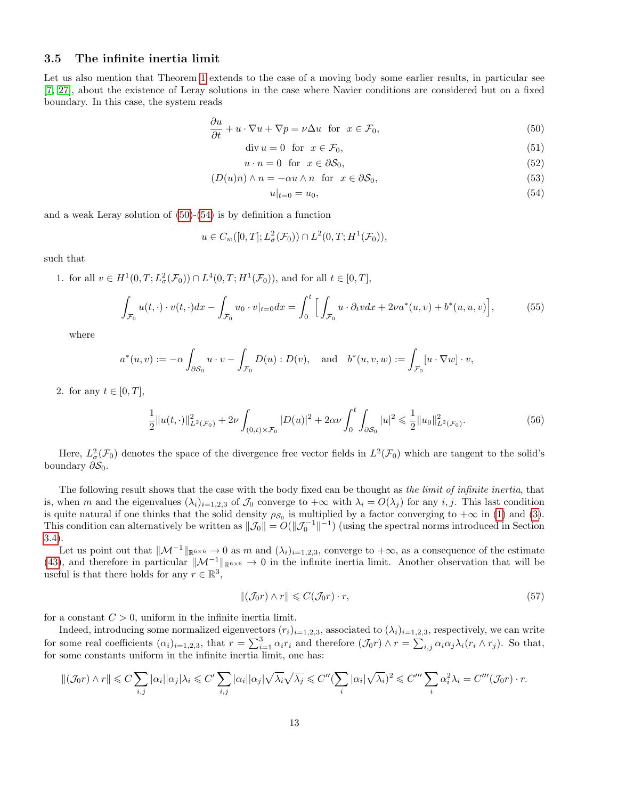#### <span id="page-12-0"></span>3.5 The infinite inertia limit

Let us also mention that Theorem [1](#page-6-1) extends to the case of a moving body some earlier results, in particular see [\[7,](#page-21-3) [27\]](#page-22-13), about the existence of Leray solutions in the case where Navier conditions are considered but on a fixed boundary. In this case, the system reads

$$
\frac{\partial u}{\partial t} + u \cdot \nabla u + \nabla p = \nu \Delta u \quad \text{for} \quad x \in \mathcal{F}_0,
$$
\n
$$
(50)
$$

$$
\operatorname{div} u = 0 \quad \text{for} \quad x \in \mathcal{F}_0,\tag{51}
$$

$$
u \cdot n = 0 \quad \text{for} \quad x \in \partial S_0,\tag{52}
$$

$$
(D(u)n) \wedge n = -\alpha u \wedge n \quad \text{for} \quad x \in \partial S_0,\tag{53}
$$

<span id="page-12-2"></span><span id="page-12-1"></span>
$$
u|_{t=0} = u_0,\t\t(54)
$$

and a weak Leray solution of [\(50\)](#page-12-1)-[\(54\)](#page-12-2) is by definition a function

$$
u \in C_w([0,T]; L^2_\sigma(\mathcal{F}_0)) \cap L^2(0,T; H^1(\mathcal{F}_0)),
$$

such that

1. for all  $v \in H^1(0,T; L^2_{\sigma}(\mathcal{F}_0)) \cap L^4(0,T; H^1(\mathcal{F}_0)),$  and for all  $t \in [0,T]$ ,

<span id="page-12-3"></span>
$$
\int_{\mathcal{F}_0} u(t,\cdot) \cdot v(t,\cdot) dx - \int_{\mathcal{F}_0} u_0 \cdot v|_{t=0} dx = \int_0^t \Big[ \int_{\mathcal{F}_0} u \cdot \partial_t v dx + 2\nu a^*(u,v) + b^*(u,u,v) \Big],\tag{55}
$$

where

$$
a^*(u,v) := -\alpha \int_{\partial \mathcal{S}_0} u \cdot v - \int_{\mathcal{F}_0} D(u) : D(v), \quad \text{and} \quad b^*(u,v,w) := \int_{\mathcal{F}_0} [u \cdot \nabla w] \cdot v,
$$

2. for any  $t \in [0, T]$ ,

$$
\frac{1}{2}||u(t,\cdot)||_{L^{2}(\mathcal{F}_{0})}^{2} + 2\nu \int_{(0,t)\times\mathcal{F}_{0}} |D(u)|^{2} + 2\alpha\nu \int_{0}^{t} \int_{\partial S_{0}} |u|^{2} \leq \frac{1}{2}||u_{0}||_{L^{2}(\mathcal{F}_{0})}^{2}.
$$
\n(56)

Here,  $L^2_{\sigma}(\mathcal{F}_0)$  denotes the space of the divergence free vector fields in  $L^2(\mathcal{F}_0)$  which are tangent to the solid's boundary  $\partial \mathcal{S}_0$ .

The following result shows that the case with the body fixed can be thought as the limit of infinite inertia, that is, when m and the eigenvalues  $(\lambda_i)_{i=1,2,3}$  of  $\mathcal{J}_0$  converge to  $+\infty$  with  $\lambda_i = O(\lambda_j)$  for any  $i, j$ . This last condition is quite natural if one thinks that the solid density  $\rho_{S_0}$  is multiplied by a factor converging to  $+\infty$  in [\(1\)](#page-2-7) and [\(3\)](#page-2-9). This condition can alternatively be written as  $\|\mathcal{J}_0\| = O(\|\mathcal{J}_0^{-1}\|^{-1})$  (using the spectral norms introduced in Section [3.4\)](#page-10-4).

Let us point out that  $\|\mathcal{M}^{-1}\|_{\mathbb{R}^{6\times6}} \to 0$  as m and  $(\lambda_i)_{i=1,2,3}$ , converge to  $+\infty$ , as a consequence of the estimate [\(43\)](#page-10-0), and therefore in particular  $\|\mathcal{M}^{-1}\|_{\mathbb{R}^{6\times6}} \to 0$  in the infinite inertia limit. Another observation that will be useful is that there holds for any  $r \in \mathbb{R}^3$ ,

<span id="page-12-4"></span>
$$
\|(\mathcal{J}_0 r) \wedge r\| \leqslant C(\mathcal{J}_0 r) \cdot r,\tag{57}
$$

for a constant  $C > 0$ , uniform in the infinite inertia limit.

Indeed, introducing some normalized eigenvectors  $(r_i)_{i=1,2,3}$ , associated to  $(\lambda_i)_{i=1,2,3}$ , respectively, we can write for some real coefficients  $(\alpha_i)_{i=1,2,3}$ , that  $r = \sum_{i=1}^3 \alpha_i r_i$  and therefore  $(\mathcal{J}_0 r) \wedge r = \sum_{i,j} \alpha_i \alpha_j \lambda_i (r_i \wedge r_j)$ . So that, for some constants uniform in the infinite inertia limit, one has:

$$
\|(\mathcal{J}_0r)\wedge r\| \leq C \sum_{i,j} |\alpha_i||\alpha_j|\lambda_i \leq C' \sum_{i,j} |\alpha_i||\alpha_j|\sqrt{\lambda_i}\sqrt{\lambda_j} \leq C''(\sum_i |\alpha_i|\sqrt{\lambda_i})^2 \leq C''' \sum_i \alpha_i^2\lambda_i = C'''(\mathcal{J}_0r)\cdot r.
$$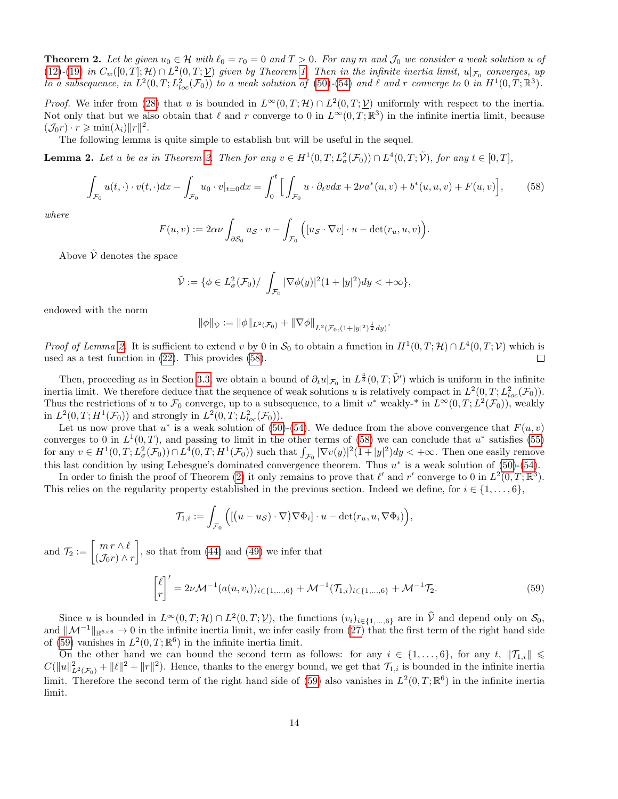<span id="page-13-0"></span>**Theorem 2.** Let be given  $u_0 \in \mathcal{H}$  with  $\ell_0 = r_0 = 0$  and  $T > 0$ . For any m and  $\mathcal{J}_0$  we consider a weak solution u of [\(12\)](#page-3-1)-[\(19\)](#page-3-2) in  $C_w([0,T];\mathcal{H}) \cap L^2(0,T;\underline{V})$  given by Theorem [1.](#page-6-1) Then in the infinite inertia limit,  $u|_{\mathcal{F}_0}$  converges, up to a subsequence, in  $L^2(0,T; L^2_{loc}(\mathcal{F}_0))$  to a weak solution of [\(50\)](#page-12-1)-[\(54\)](#page-12-2) and  $\ell$  and r converge to 0 in  $H^1(0,T;\mathbb{R}^3)$ .

*Proof.* We infer from [\(28\)](#page-6-4) that u is bounded in  $L^{\infty}(0,T;\mathcal{H}) \cap L^{2}(0,T;\mathcal{V})$  uniformly with respect to the inertia. Not only that but we also obtain that  $\ell$  and r converge to 0 in  $L^{\infty}(0,T;\mathbb{R}^{3})$  in the infinite inertia limit, because  $(\mathcal{J}_0 r) \cdot r \geqslant \min(\lambda_i) \|r\|^2.$ 

The following lemma is quite simple to establish but will be useful in the sequel.

<span id="page-13-1"></span>**Lemma [2.](#page-13-0)** Let u be as in Theorem 2. Then for any  $v \in H^1(0,T; L^2_{\sigma}(\mathcal{F}_0)) \cap L^4(0,T; \tilde{\mathcal{V}})$ , for any  $t \in [0,T]$ ,

<span id="page-13-2"></span>
$$
\int_{\mathcal{F}_0} u(t,\cdot) \cdot v(t,\cdot) dx - \int_{\mathcal{F}_0} u_0 \cdot v|_{t=0} dx = \int_0^t \Big[ \int_{\mathcal{F}_0} u \cdot \partial_t v dx + 2\nu a^*(u,v) + b^*(u,u,v) + F(u,v) \Big],\tag{58}
$$

where

$$
F(u,v) := 2\alpha\nu \int_{\partial \mathcal{S}_0} u_{\mathcal{S}} \cdot v - \int_{\mathcal{F}_0} \Big( [u_{\mathcal{S}} \cdot \nabla v] \cdot u - \det(r_u, u, v) \Big).
$$

Above  $\tilde{V}$  denotes the space

$$
\tilde{\mathcal{V}} := \{ \phi \in L^2_{\sigma}(\mathcal{F}_0) / \int_{\mathcal{F}_0} |\nabla \phi(y)|^2 (1 + |y|^2) dy < +\infty \},\
$$

endowed with the norm

$$
\|\phi\|_{\tilde{\mathcal{V}}} := \|\phi\|_{L^2(\mathcal{F}_0)} + \|\nabla\phi\|_{L^2(\mathcal{F}_0, (1+|y|^2)^{\frac{1}{2}}dy)}.
$$

*Proof of Lemma [2.](#page-13-1)* It is sufficient to extend v by 0 in  $S_0$  to obtain a function in  $H^1(0,T;\mathcal{H}) \cap L^4(0,T;\mathcal{V})$  which is used as a test function in [\(22\)](#page-5-2). This provides [\(58\)](#page-13-2).  $\Box$ 

Then, proceeding as in Section [3.3,](#page-6-6) we obtain a bound of  $\partial_t u|_{\mathcal{F}_0}$  in  $L^{\frac{4}{3}}(0,T;\tilde{\mathcal{V}}')$  which is uniform in the infinite inertia limit. We therefore deduce that the sequence of weak solutions u is relatively compact in  $L^2(0,T; L^2_{loc}(\mathcal{F}_0))$ . Thus the restrictions of u to  $\mathcal{F}_0$  converge, up to a subsequence, to a limit u<sup>\*</sup> weakly-<sup>\*</sup> in  $L^{\infty}(0,T; L^2(\mathcal{F}_0))$ , weakly in  $L^2(0,T;H^1(\mathcal{F}_0))$  and strongly in  $L^2(0,T;L^2_{loc}(\mathcal{F}_0))$ .

Let us now prove that  $u^*$  is a weak solution of [\(50\)](#page-12-1)-[\(54\)](#page-12-2). We deduce from the above convergence that  $F(u, v)$ converges to 0 in  $L^1(0,T)$ , and passing to limit in the other terms of [\(58\)](#page-13-2) we can conclude that  $u^*$  satisfies [\(55\)](#page-12-3) for any  $v \in H^1(0,T; L^2_{\sigma}(\mathcal{F}_0)) \cap L^4(0,T; H^1(\mathcal{F}_0))$  such that  $\int_{\mathcal{F}_0} |\nabla v(y)|^2 (1+|y|^2) dy < +\infty$ . Then one easily remove this last condition by using Lebesgue's dominated convergence theorem. Thus  $u^*$  is a weak solution of [\(50\)](#page-12-1)-[\(54\)](#page-12-2).

In order to finish the proof of Theorem [\(2\)](#page-13-0) it only remains to prove that  $\ell'$  and r' converge to 0 in  $L^2(0,T;\mathbb{R}^3)$ . This relies on the regularity property established in the previous section. Indeed we define, for  $i \in \{1, \ldots, 6\}$ ,

$$
\mathcal{T}_{1,i} := \int_{\mathcal{F}_0} \Big( [(u - u_{\mathcal{S}}) \cdot \nabla) \nabla \Phi_i] \cdot u - \det(r_u, u, \nabla \Phi_i) \Big),
$$

and  $\mathcal{T}_2 := \begin{bmatrix} m r \wedge \ell \\ (\mathcal{T}, r) \wedge \ell \end{bmatrix}$  $(\mathcal{J}_0r)\wedge r$ , so that from  $(44)$  and  $(49)$  we infer that

<span id="page-13-3"></span>
$$
\begin{bmatrix} \ell \\ r \end{bmatrix}' = 2\nu \mathcal{M}^{-1}(a(u, v_i))_{i \in \{1, \dots, 6\}} + \mathcal{M}^{-1}(\mathcal{T}_{1,i})_{i \in \{1, \dots, 6\}} + \mathcal{M}^{-1}\mathcal{T}_2.
$$
 (59)

Since u is bounded in  $L^{\infty}(0,T;\mathcal{H}) \cap L^{2}(0,T;\mathcal{V})$ , the functions  $(v_i)_{i\in\{1,\ldots,6\}}$  are in  $\hat{V}$  and depend only on  $\mathcal{S}_0$ , and  $\|\mathcal{M}^{-1}\|_{\mathbb{R}^{6\times6}} \to 0$  in the infinite inertia limit, we infer easily from [\(27\)](#page-6-0) that the first term of the right hand side of [\(59\)](#page-13-3) vanishes in  $L^2(0,T;\mathbb{R}^6)$  in the infinite inertia limit.

On the other hand we can bound the second term as follows: for any  $i \in \{1,\ldots,6\}$ , for any  $t, \| \mathcal{T}_{1,i} \| \leq$  $C(||u||^2_{L^2(\mathcal{F}_0)} + ||\ell||^2 + ||r||^2)$ . Hence, thanks to the energy bound, we get that  $\mathcal{T}_{1,i}$  is bounded in the infinite inertia limit. Therefore the second term of the right hand side of [\(59\)](#page-13-3) also vanishes in  $L^2(0,T;\mathbb{R}^6)$  in the infinite inertia limit.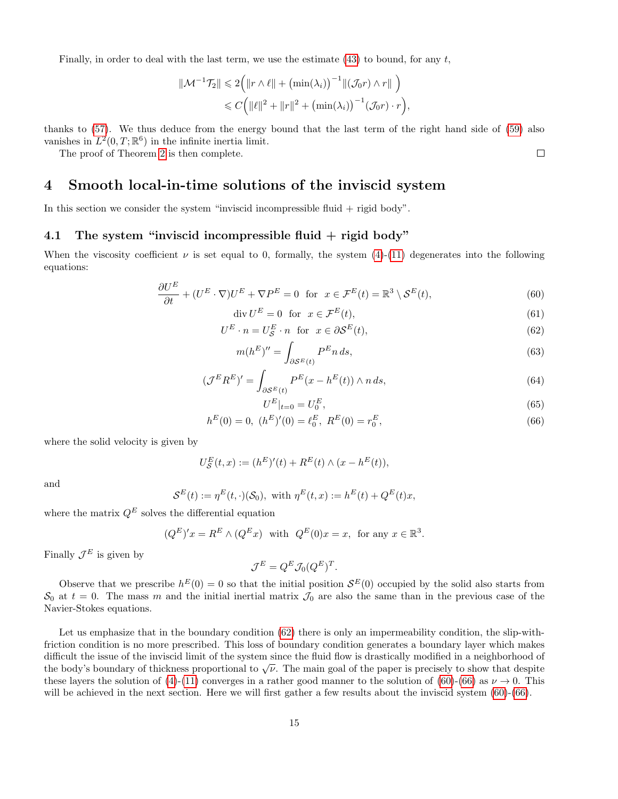Finally, in order to deal with the last term, we use the estimate  $(43)$  to bound, for any t,

$$
\|\mathcal{M}^{-1}\mathcal{T}_2\| \leq 2\Big(\|r\wedge\ell\| + \big(\min(\lambda_i)\big)^{-1}\|(\mathcal{J}_0r)\wedge r\|\Big) \leq C\Big(\|\ell\|^2 + \|r\|^2 + \big(\min(\lambda_i)\big)^{-1}(\mathcal{J}_0r)\cdot r\Big),
$$

thanks to [\(57\)](#page-12-4). We thus deduce from the energy bound that the last term of the right hand side of [\(59\)](#page-13-3) also vanishes in  $L^2(0,T;\mathbb{R}^6)$  in the infinite inertia limit.

The proof of Theorem [2](#page-13-0) is then complete.

## <span id="page-14-0"></span>4 Smooth local-in-time solutions of the inviscid system

In this section we consider the system "inviscid incompressible fluid + rigid body".

### 4.1 The system "inviscid incompressible fluid  $+$  rigid body"

When the viscosity coefficient  $\nu$  is set equal to 0, formally, the system [\(4\)](#page-2-0)-[\(11\)](#page-2-6) degenerates into the following equations:

$$
\frac{\partial U^E}{\partial t} + (U^E \cdot \nabla) U^E + \nabla P^E = 0 \quad \text{for} \quad x \in \mathcal{F}^E(t) = \mathbb{R}^3 \setminus \mathcal{S}^E(t),\tag{60}
$$

$$
\operatorname{div} U^E = 0 \quad \text{for} \quad x \in \mathcal{F}^E(t),\tag{61}
$$

$$
U^{E} \cdot n = U_{\mathcal{S}}^{E} \cdot n \quad \text{for} \quad x \in \partial \mathcal{S}^{E}(t), \tag{62}
$$

$$
m(h^E)'' = \int_{\partial \mathcal{S}^E(t)} P^E n \, ds,\tag{63}
$$

$$
(\mathcal{J}^E R^E)' = \int_{\partial \mathcal{S}^E(t)} P^E(x - h^E(t)) \wedge n \, ds,\tag{64}
$$

$$
U^E|_{t=0} = U_0^E,\tag{65}
$$

$$
h^{E}(0) = 0, \ (h^{E})'(0) = \ell_0^{E}, \ R^{E}(0) = r_0^{E}, \tag{66}
$$

where the solid velocity is given by

$$
U_{\mathcal{S}}^{E}(t,x) := (h^{E})'(t) + R^{E}(t) \wedge (x - h^{E}(t)),
$$

and

$$
S^{E}(t) := \eta^{E}(t, \cdot)(S_0), \text{ with } \eta^{E}(t, x) := h^{E}(t) + Q^{E}(t)x,
$$

where the matrix  $Q^E$  solves the differential equation

$$
(Q^E)'x = R^E \wedge (Q^E x)
$$
 with  $Q^E(0)x = x$ , for any  $x \in \mathbb{R}^3$ .

Finally  $\mathcal{J}^E$  is given by

$$
\mathcal{J}^E=Q^E\mathcal{J}_0(Q^E)^T.
$$

Observe that we prescribe  $h^{E}(0) = 0$  so that the initial position  $\mathcal{S}^{E}(0)$  occupied by the solid also starts from  $S_0$  at  $t = 0$ . The mass m and the initial inertial matrix  $\mathcal{J}_0$  are also the same than in the previous case of the Navier-Stokes equations.

Let us emphasize that in the boundary condition [\(62\)](#page-14-1) there is only an impermeability condition, the slip-withfriction condition is no more prescribed. This loss of boundary condition generates a boundary layer which makes difficult the issue of the inviscid limit of the system since the fluid flow is drastically modified in a neighborhood of different the issue of the inviscid fifth of the system since the fitud flow is drastically modified in a heighborhood of the body's boundary of thickness proportional to  $\sqrt{\nu}$ . The main goal of the paper is precisely t these layers the solution of [\(4\)](#page-2-0)-[\(11\)](#page-2-6) converges in a rather good manner to the solution of [\(60\)](#page-14-2)-[\(66\)](#page-14-3) as  $\nu \to 0$ . This will be achieved in the next section. Here we will first gather a few results about the inviscid system [\(60\)](#page-14-2)-[\(66\)](#page-14-3).

<span id="page-14-3"></span><span id="page-14-2"></span><span id="page-14-1"></span> $\Box$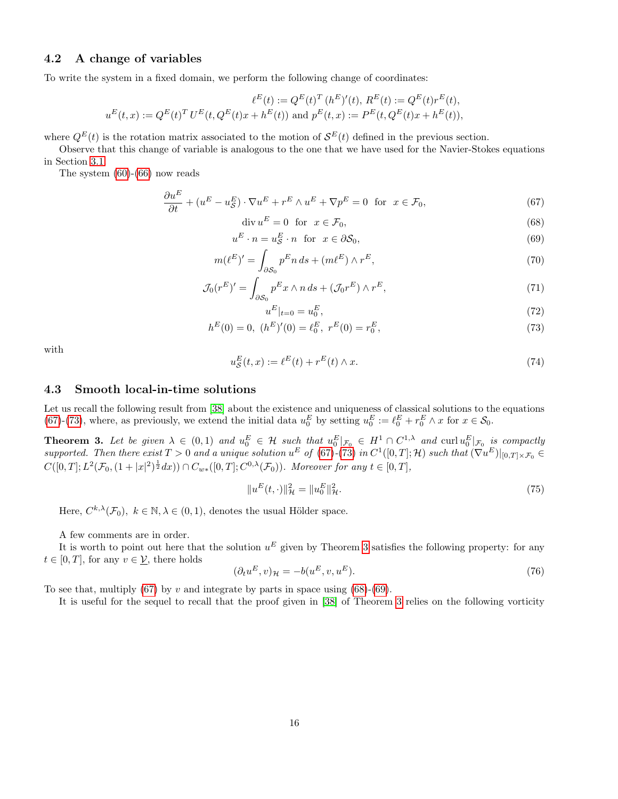## 4.2 A change of variables

To write the system in a fixed domain, we perform the following change of coordinates:

$$
\ell^{E}(t) := Q^{E}(t)^{T} (h^{E})'(t), R^{E}(t) := Q^{E}(t)^{T} E(t),
$$
  

$$
u^{E}(t,x) := Q^{E}(t)^{T} U^{E}(t, Q^{E}(t)x + h^{E}(t)) \text{ and } p^{E}(t,x) := P^{E}(t, Q^{E}(t)x + h^{E}(t)),
$$

where  $Q^{E}(t)$  is the rotation matrix associated to the motion of  $S^{E}(t)$  defined in the previous section.

Observe that this change of variable is analogous to the one that we have used for the Navier-Stokes equations in Section [3.1.](#page-3-8)

The system [\(60\)](#page-14-2)-[\(66\)](#page-14-3) now reads

$$
\frac{\partial u^E}{\partial t} + (u^E - u^E_{\mathcal{S}}) \cdot \nabla u^E + r^E \wedge u^E + \nabla p^E = 0 \text{ for } x \in \mathcal{F}_0,
$$
\n(67)

$$
\operatorname{div} u^E = 0 \quad \text{for} \quad x \in \mathcal{F}_0,\tag{68}
$$

$$
u^E \cdot n = u^E_{\mathcal{S}} \cdot n \quad \text{for} \quad x \in \partial \mathcal{S}_0,\tag{69}
$$

$$
m(\ell^E)' = \int_{\partial S_0} p^E n \, ds + (m\ell^E) \wedge r^E,\tag{70}
$$

$$
\mathcal{J}_0(r^E)' = \int_{\partial S_0} p^E x \wedge n \, ds + (\mathcal{J}_0 r^E) \wedge r^E,\tag{71}
$$

<span id="page-15-4"></span><span id="page-15-3"></span><span id="page-15-1"></span><span id="page-15-0"></span>
$$
u^E|_{t=0} = u_0^E,\t\t(72)
$$

$$
h^{E}(0) = 0, \ (h^{E})'(0) = \ell_0^{E}, \ r^{E}(0) = r_0^{E}, \tag{73}
$$

with

<span id="page-15-5"></span>
$$
u_S^E(t,x) := \ell^E(t) + r^E(t) \wedge x. \tag{74}
$$

### 4.3 Smooth local-in-time solutions

Let us recall the following result from [\[38\]](#page-23-6) about the existence and uniqueness of classical solutions to the equations [\(67\)](#page-15-0)-[\(73\)](#page-15-1), where, as previously, we extend the initial data  $u_0^E$  by setting  $u_0^E := \ell_0^E + r_0^E \wedge x$  for  $x \in \mathcal{S}_0$ .

<span id="page-15-2"></span>**Theorem 3.** Let be given  $\lambda \in (0,1)$  and  $u_0^E \in \mathcal{H}$  such that  $u_0^E|_{\mathcal{F}_0} \in H^1 \cap C^{1,\lambda}$  and  $\text{curl } u_0^E|_{\mathcal{F}_0}$  is compactly supported. Then there exist  $T > 0$  and a unique solution  $u^E$  of [\(67\)](#page-15-0)-[\(73\)](#page-15-1) in  $C^1([0,T];\mathcal{H})$  such that  $(\nabla u^E)|_{[0,T]\times\mathcal{F}_0} \in$  $C([0,T];L^2(\mathcal{F}_0,(1+|x|^2)^{\frac{1}{2}}dx))\cap C_{w*}([0,T];C^{0,\lambda}(\mathcal{F}_0))$ . Moreover for any  $t\in[0,T]$ ,

<span id="page-15-7"></span>
$$
||u^{E}(t,\cdot)||_{\mathcal{H}}^{2} = ||u_{0}^{E}||_{\mathcal{H}}^{2}.
$$
\n(75)

Here,  $C^{k,\lambda}(\mathcal{F}_0)$ ,  $k \in \mathbb{N}, \lambda \in (0,1)$ , denotes the usual Hölder space.

A few comments are in order.

It is worth to point out here that the solution  $u^E$  given by Theorem [3](#page-15-2) satisfies the following property: for any  $t \in [0, T]$ , for any  $v \in \mathcal{V}$ , there holds

<span id="page-15-6"></span>
$$
(\partial_t u^E, v)_{\mathcal{H}} = -b(u^E, v, u^E). \tag{76}
$$

To see that, multiply [\(67\)](#page-15-0) by v and integrate by parts in space using [\(68\)](#page-15-3)-[\(69\)](#page-15-4).

It is useful for the sequel to recall that the proof given in [\[38\]](#page-23-6) of Theorem [3](#page-15-2) relies on the following vorticity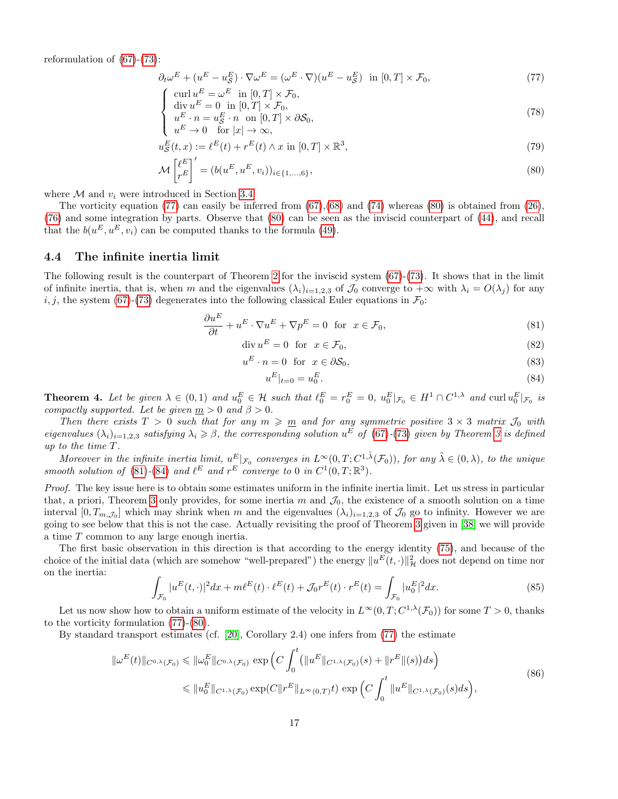reformulation of [\(67\)](#page-15-0)-[\(73\)](#page-15-1):

$$
\partial_t \omega^E + (u^E - u^E_{\mathcal{S}}) \cdot \nabla \omega^E = (\omega^E \cdot \nabla)(u^E - u^E_{\mathcal{S}}) \text{ in } [0, T] \times \mathcal{F}_0,
$$
\n
$$
(77)
$$

<span id="page-16-5"></span><span id="page-16-1"></span>
$$
\begin{cases}\n\operatorname{curl} u^E = \omega^E \quad \text{in } [0, T] \times \mathcal{F}_0, \\
\operatorname{div} u^E = 0 \quad \text{in } [0, T] \times \mathcal{F}_0, \\
\omega^E = \omega^E \quad \text{on } [0, T] \times \mathbb{R}^2,\n\end{cases} (78)
$$

$$
\begin{cases}\n u^E \cdot n = u_S^E \cdot n \quad \text{on } [0, T] \times \partial S_0, \\
 u^E \to 0 \quad \text{for } |x| \to \infty,\n\end{cases} \tag{18}
$$

$$
u_{\mathcal{S}}^{E}(t,x) := \ell^{E}(t) + r^{E}(t) \wedge x \text{ in } [0,T] \times \mathbb{R}^{3},\tag{79}
$$

$$
\mathcal{M}\begin{bmatrix} \ell^E \\ r^E \end{bmatrix}' = (b(u^E, u^E, v_i))_{i \in \{1, \dots, 6\}},
$$
\n(80)

where  $\mathcal M$  and  $v_i$  were introduced in Section [3.4.](#page-10-4)

The vorticity equation [\(77\)](#page-16-1) can easily be inferred from  $(67),(68)$  $(67),(68)$  and  $(74)$  whereas  $(80)$  is obtained from  $(26)$ , [\(76\)](#page-15-6) and some integration by parts. Observe that [\(80\)](#page-16-2) can be seen as the inviscid counterpart of [\(44\)](#page-10-1), and recall that the  $b(u^E, u^E, v_i)$  can be computed thanks to the formula [\(49\)](#page-11-4).

#### <span id="page-16-0"></span>4.4 The infinite inertia limit

The following result is the counterpart of Theorem [2](#page-13-0) for the inviscid system [\(67\)](#page-15-0)-[\(73\)](#page-15-1). It shows that in the limit of infinite inertia, that is, when m and the eigenvalues  $(\lambda_i)_{i=1,2,3}$  of  $\mathcal{J}_0$  converge to  $+\infty$  with  $\lambda_i = O(\lambda_j)$  for any i, j, the system [\(67\)](#page-15-0)-[\(73\)](#page-15-1) degenerates into the following classical Euler equations in  $\mathcal{F}_0$ :

$$
\frac{\partial u^E}{\partial t} + u^E \cdot \nabla u^E + \nabla p^E = 0 \quad \text{for} \quad x \in \mathcal{F}_0,
$$
\n(81)

$$
\operatorname{div} u^E = 0 \quad \text{for} \quad x \in \mathcal{F}_0,\tag{82}
$$

$$
u^E \cdot n = 0 \quad \text{for} \quad x \in \partial S_0,\tag{83}
$$

<span id="page-16-4"></span><span id="page-16-3"></span><span id="page-16-2"></span>
$$
u^E|_{t=0} = u_0^E. \tag{84}
$$

<span id="page-16-7"></span>**Theorem 4.** Let be given  $\lambda \in (0,1)$  and  $u_0^E \in \mathcal{H}$  such that  $\ell_0^E = r_0^E = 0$ ,  $u_0^E|_{\mathcal{F}_0} \in H^1 \cap C^{1,\lambda}$  and  $\text{curl } u_0^E|_{\mathcal{F}_0}$  is compactly supported. Let be given  $\underline{m} > 0$  and  $\beta > 0$ .

Then there exists  $T > 0$  such that for any  $m \geq m$  and for any symmetric positive  $3 \times 3$  matrix  $\mathcal{J}_0$  with eigenvalues  $(\lambda_i)_{i=1,2,3}$  satisfying  $\lambda_i \geq \beta$ , the corresponding solution  $u^E$  of [\(67\)](#page-15-0)-[\(73\)](#page-15-1) given by Theorem [3](#page-15-2) is defined up to the time T.

Moreover in the infinite inertia limit,  $u^E|_{\mathcal{F}_0}$  converges in  $L^{\infty}(0,T;C^{1,\tilde{\lambda}}(\mathcal{F}_0))$ , for any  $\tilde{\lambda} \in (0,\lambda)$ , to the unique smooth solution of [\(81\)](#page-16-3)-[\(84\)](#page-16-4) and  $\ell^E$  and  $r^E$  converge to 0 in  $C^1(0,T;\mathbb{R}^3)$ .

Proof. The key issue here is to obtain some estimates uniform in the infinite inertia limit. Let us stress in particular that, a priori, Theorem [3](#page-15-2) only provides, for some inertia m and  $\mathcal{J}_0$ , the existence of a smooth solution on a time interval  $[0, T_{m,\mathcal{J}_0}]$  which may shrink when m and the eigenvalues  $(\lambda_i)_{i=1,2,3}$  of  $\mathcal{J}_0$  go to infinity. However we are going to see below that this is not the case. Actually revisiting the proof of Theorem [3](#page-15-2) given in [\[38\]](#page-23-6) we will provide a time T common to any large enough inertia.

The first basic observation in this direction is that according to the energy identity [\(75\)](#page-15-7), and because of the choice of the initial data (which are somehow "well-prepared") the energy  $\|u^E(t, \cdot)\|_{\mathcal{H}}^2$  does not depend on time nor on the inertia:

<span id="page-16-8"></span>
$$
\int_{\mathcal{F}_0} |u^E(t, \cdot)|^2 dx + m\ell^E(t) \cdot \ell^E(t) + \mathcal{J}_0 r^E(t) \cdot r^E(t) = \int_{\mathcal{F}_0} |u_0^E|^2 dx.
$$
\n(85)

Let us now show how to obtain a uniform estimate of the velocity in  $L^{\infty}(0,T; C^{1,\lambda}(\mathcal{F}_0))$  for some  $T > 0$ , thanks to the vorticity formulation [\(77\)](#page-16-1)-[\(80\)](#page-16-2).

<span id="page-16-6"></span>By standard transport estimates (cf. [\[20\]](#page-22-18), Corollary 2.4) one infers from [\(77\)](#page-16-1) the estimate

$$
\|\omega^{E}(t)\|_{C^{0,\lambda}(\mathcal{F}_{0})} \leq \|\omega_{0}^{E}\|_{C^{0,\lambda}(\mathcal{F}_{0})} \exp\left(C \int_{0}^{t} (\|u^{E}\|_{C^{1,\lambda}(\mathcal{F}_{0})}(s) + \|r^{E}\|(s))ds\right)
$$
  

$$
\leq \|u_{0}^{E}\|_{C^{1,\lambda}(\mathcal{F}_{0})} \exp(C\|r^{E}\|_{L^{\infty}(0,T)}t) \exp\left(C \int_{0}^{t} \|u^{E}\|_{C^{1,\lambda}(\mathcal{F}_{0})}(s)ds\right),
$$
\n(86)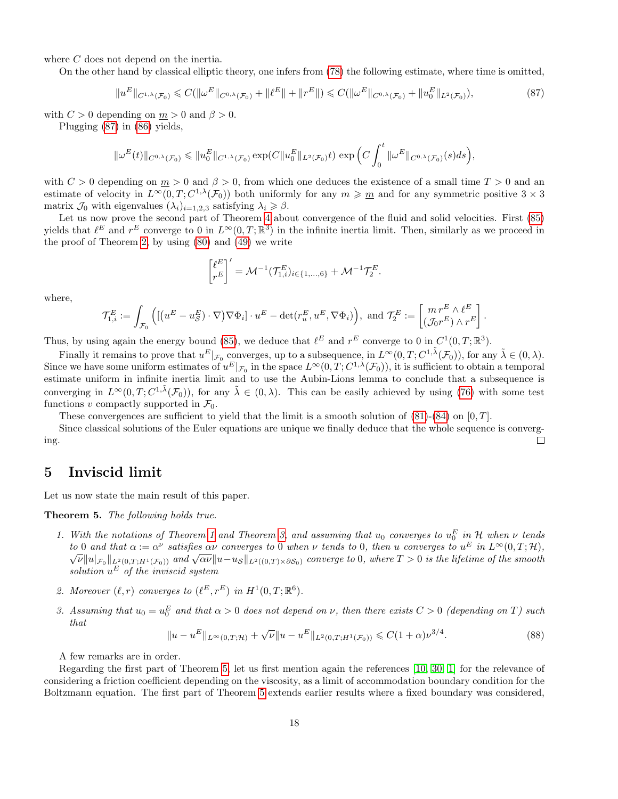where C does not depend on the inertia.

On the other hand by classical elliptic theory, one infers from [\(78\)](#page-16-5) the following estimate, where time is omitted,

<span id="page-17-1"></span>
$$
||u^E||_{C^{1,\lambda}(\mathcal{F}_0)} \leq C(||\omega^E||_{C^{0,\lambda}(\mathcal{F}_0)} + ||\ell^E|| + ||r^E||) \leq C(||\omega^E||_{C^{0,\lambda}(\mathcal{F}_0)} + ||u_0^E||_{L^2(\mathcal{F}_0)}),
$$
\n(87)

with  $C > 0$  depending on  $m > 0$  and  $\beta > 0$ .

Plugging [\(87\)](#page-17-1) in [\(86\)](#page-16-6) yields,

$$
\|\omega^{E}(t)\|_{C^{0,\lambda}(\mathcal{F}_{0})} \leq \|u_{0}^{E}\|_{C^{1,\lambda}(\mathcal{F}_{0})} \exp(C\|u_{0}^{E}\|_{L^{2}(\mathcal{F}_{0})}t) \exp\Big(C\int_{0}^{t} \|\omega^{E}\|_{C^{0,\lambda}(\mathcal{F}_{0})}(s)ds\Big),
$$

with  $C > 0$  depending on  $m > 0$  and  $\beta > 0$ , from which one deduces the existence of a small time  $T > 0$  and an estimate of velocity in  $L^{\infty}(0,T; C^{1,\lambda}(\mathcal{F}_0))$  both uniformly for any  $m \geqslant m$  and for any symmetric positive  $3 \times 3$ matrix  $\mathcal{J}_0$  with eigenvalues  $(\lambda_i)_{i=1,2,3}$  satisfying  $\lambda_i \geq \beta$ .

Let us now prove the second part of Theorem [4](#page-16-7) about convergence of the fluid and solid velocities. First  $(85)$ yields that  $\ell^E$  and  $r^E$  converge to 0 in  $L^\infty(0,T;\mathbb{R}^3)$  in the infinite inertia limit. Then, similarly as we proceed in the proof of Theorem [2,](#page-13-0) by using [\(80\)](#page-16-2) and [\(49\)](#page-11-4) we write

$$
\begin{bmatrix} \ell^E \\ r^E \end{bmatrix}' = \mathcal{M}^{-1} (\mathcal{T}_{1,i}^E)_{i \in \{1,\dots,6\}} + \mathcal{M}^{-1} \mathcal{T}_2^E.
$$

where,

$$
\mathcal{T}_{1,i}^E:=\int_{\mathcal{F}_0}\Big(\big[(u^E-u^E_{\mathcal{S}})\cdot\nabla\big)\nabla\Phi_i\big]\cdot u^E-\det(r_u^E,u^E,\nabla\Phi_i)\Big), \text{ and } \mathcal{T}_2^E:=\begin{bmatrix}nr^E\wedge\ell^E\\(\mathcal{J}_0r^E)\wedge r^E\end{bmatrix}
$$

Thus, by using again the energy bound [\(85\)](#page-16-8), we deduce that  $\ell^E$  and  $r^E$  converge to 0 in  $C^1(0,T;\mathbb{R}^3)$ .

Finally it remains to prove that  $u^E|_{\mathcal{F}_0}$  converges, up to a subsequence, in  $L^{\infty}(0,T; C^{1,\tilde{\lambda}}(\mathcal{F}_0))$ , for any  $\tilde{\lambda} \in (0,\lambda)$ . Since we have some uniform estimates of  $u^E|_{\mathcal{F}_0}$  in the space  $L^{\infty}(0,T;C^{1,\lambda}(\mathcal{F}_0))$ , it is sufficient to obtain a temporal estimate uniform in infinite inertia limit and to use the Aubin-Lions lemma to conclude that a subsequence is converging in  $L^{\infty}(0,T; C^{1,\tilde{\lambda}}(\mathcal{F}_0))$ , for any  $\tilde{\lambda} \in (0,\lambda)$ . This can be easily achieved by using [\(76\)](#page-15-6) with some test functions v compactly supported in  $\mathcal{F}_0$ .

These convergences are sufficient to yield that the limit is a smooth solution of  $(81)-(84)$  $(81)-(84)$  on  $[0, T]$ .

Since classical solutions of the Euler equations are unique we finally deduce that the whole sequence is converging.  $\Box$ 

# <span id="page-17-0"></span>5 Inviscid limit

Let us now state the main result of this paper.

<span id="page-17-2"></span>Theorem 5. The following holds true.

- 1. With the notations of Theorem [1](#page-6-1) and Theorem [3,](#page-15-2) and assuming that  $u_0$  converges to  $u_0^E$  in H when  $\nu$  tends to 0 and that  $\alpha := \alpha^{\nu}$  satisfies  $\alpha \nu$  converges to 0 when  $\nu$  tends to 0, then u converges to  $u^{E}$  in  $L^{\infty}(0,T;\mathcal{H})$ , vand that  $\alpha := \alpha$  satisfies  $\alpha \nu$  converges to 0 when  $\nu$  tends to 0, then a converges to  $u$  and  $T(u,1;\pi)$ ,  $\overline{\nu} \| u|_{\mathcal{F}_0} \|_{L^2(0,T;H^1(\mathcal{F}_0))}$  and  $\sqrt{\alpha \nu} \| u - u_{\mathcal{S}} \|_{L^2((0,T)\times \partial \mathcal{S}_0)}$  converge to 0, where  $T$ solution  $u^E$  of the inviscid system
- 2. Moreover  $(\ell, r)$  converges to  $(\ell^E, r^E)$  in  $H^1(0, T; \mathbb{R}^6)$ .
- 3. Assuming that  $u_0 = u_0^E$  and that  $\alpha > 0$  does not depend on  $\nu$ , then there exists  $C > 0$  (depending on T) such that √

<span id="page-17-3"></span>
$$
||u - uE||L\infty(0,T;H) + \sqrt{\nu}||u - uE||L2(0,T;H1(\mathcal{F}_0)) \leq C(1+\alpha)\nu^{3/4}.
$$
 (88)

.

A few remarks are in order.

Regarding the first part of Theorem [5,](#page-17-2) let us first mention again the references [\[10,](#page-22-15) [30,](#page-23-10) [1\]](#page-21-1) for the relevance of considering a friction coefficient depending on the viscosity, as a limit of accommodation boundary condition for the Boltzmann equation. The first part of Theorem [5](#page-17-2) extends earlier results where a fixed boundary was considered,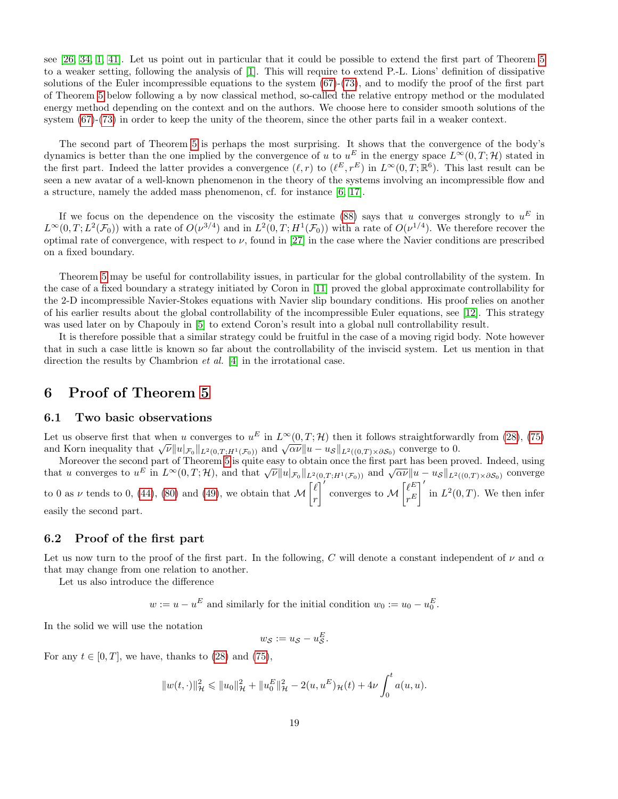see [\[26,](#page-22-12) [34,](#page-23-8) [1,](#page-21-1) [41\]](#page-23-13). Let us point out in particular that it could be possible to extend the first part of Theorem [5](#page-17-2) to a weaker setting, following the analysis of [\[1\]](#page-21-1). This will require to extend P.-L. Lions' definition of dissipative solutions of the Euler incompressible equations to the system [\(67\)](#page-15-0)-[\(73\)](#page-15-1), and to modify the proof of the first part of Theorem [5](#page-17-2) below following a by now classical method, so-called the relative entropy method or the modulated energy method depending on the context and on the authors. We choose here to consider smooth solutions of the system [\(67\)](#page-15-0)-[\(73\)](#page-15-1) in order to keep the unity of the theorem, since the other parts fail in a weaker context.

The second part of Theorem [5](#page-17-2) is perhaps the most surprising. It shows that the convergence of the body's dynamics is better than the one implied by the convergence of u to  $u^E$  in the energy space  $L^{\infty}(0,T;\mathcal{H})$  stated in the first part. Indeed the latter provides a convergence  $(\ell, r)$  to  $(\ell^E, r^E)$  in  $L^{\infty}(0, T; \mathbb{R}^6)$ . This last result can be seen a new avatar of a well-known phenomenon in the theory of the systems involving an incompressible flow and a structure, namely the added mass phenomenon, cf. for instance [\[6,](#page-21-4) [17\]](#page-22-14).

If we focus on the dependence on the viscosity the estimate [\(88\)](#page-17-3) says that u converges strongly to  $u^E$  in  $L^{\infty}(0,T; L^2(\mathcal{F}_0))$  with a rate of  $O(\nu^{3/4})$  and in  $L^2(0,T; H^1(\mathcal{F}_0))$  with a rate of  $O(\nu^{1/4})$ . We therefore recover the optimal rate of convergence, with respect to  $\nu$ , found in [\[27\]](#page-22-13) in the case where the Navier conditions are prescribed on a fixed boundary.

Theorem [5](#page-17-2) may be useful for controllability issues, in particular for the global controllability of the system. In the case of a fixed boundary a strategy initiated by Coron in [\[11\]](#page-22-19) proved the global approximate controllability for the 2-D incompressible Navier-Stokes equations with Navier slip boundary conditions. His proof relies on another of his earlier results about the global controllability of the incompressible Euler equations, see [\[12\]](#page-22-20). This strategy was used later on by Chapouly in [\[5\]](#page-21-5) to extend Coron's result into a global null controllability result.

It is therefore possible that a similar strategy could be fruitful in the case of a moving rigid body. Note however that in such a case little is known so far about the controllability of the inviscid system. Let us mention in that direction the results by Chambrion *et al.* [\[4\]](#page-21-6) in the irrotational case.

## <span id="page-18-0"></span>6 Proof of Theorem [5](#page-17-2)

#### 6.1 Two basic observations

Let us observe first that when u converges to  $u^E$  in  $L^\infty(0,T;\mathcal{H})$  then it follows straightforwardly from [\(28\)](#page-6-4), [\(75\)](#page-15-7) Let us observe first that when u converges to u in L (0, I; H) then it follows straightforward Korn inequality that  $\sqrt{\nu}||u|_{\mathcal{F}_0}||_{L^2(0,T;H^1(\mathcal{F}_0))}$  and  $\sqrt{\alpha\nu}||u - u_S||_{L^2((0,T)\times\partial S_0)}$  converge to 0.

Moreover the second part of Theorem [5](#page-17-2) is quite easy to obtain once the first part has been proved. Indeed, using where the second part of Theorem 5 is quite easy to obtain once the first part has been proved. Indeed, using<br>that u converges to  $u^E$  in  $L^{\infty}(0,T;\mathcal{H})$ , and that  $\sqrt{\nu}||u|_{\mathcal{F}_0}||_{L^2(0,T;\mathcal{H}^1(\mathcal{F}_0))}$  and  $\sqrt{\alpha\n$ to 0 as  $\nu$  tends to 0, [\(44\)](#page-10-1), [\(80\)](#page-16-2) and [\(49\)](#page-11-4), we obtain that  $\mathcal{M} \begin{bmatrix} \ell \\ n \end{bmatrix}$ r  $\int'$  converges to  $\mathcal{M} \begin{bmatrix} \ell^E \\ E \end{bmatrix}$  $r^E$  $\int'$  in  $L^2(0,T)$ . We then infer easily the second part.

#### 6.2 Proof of the first part

Let us now turn to the proof of the first part. In the following, C will denote a constant independent of  $\nu$  and  $\alpha$ that may change from one relation to another.

Let us also introduce the difference

$$
w := u - uE
$$
 and similarly for the initial condition  $w_0 := u_0 - u_0E$ .

In the solid we will use the notation

$$
w_{\mathcal{S}} := u_{\mathcal{S}} - u_{\mathcal{S}}^E.
$$

For any  $t \in [0, T]$ , we have, thanks to [\(28\)](#page-6-4) and [\(75\)](#page-15-7),

<span id="page-18-1"></span>
$$
||w(t, \cdot)||_{\mathcal{H}}^{2} \leq ||u_{0}||_{\mathcal{H}}^{2} + ||u_{0}^{E}||_{\mathcal{H}}^{2} - 2(u, u^{E})_{\mathcal{H}}(t) + 4\nu \int_{0}^{t} a(u, u).
$$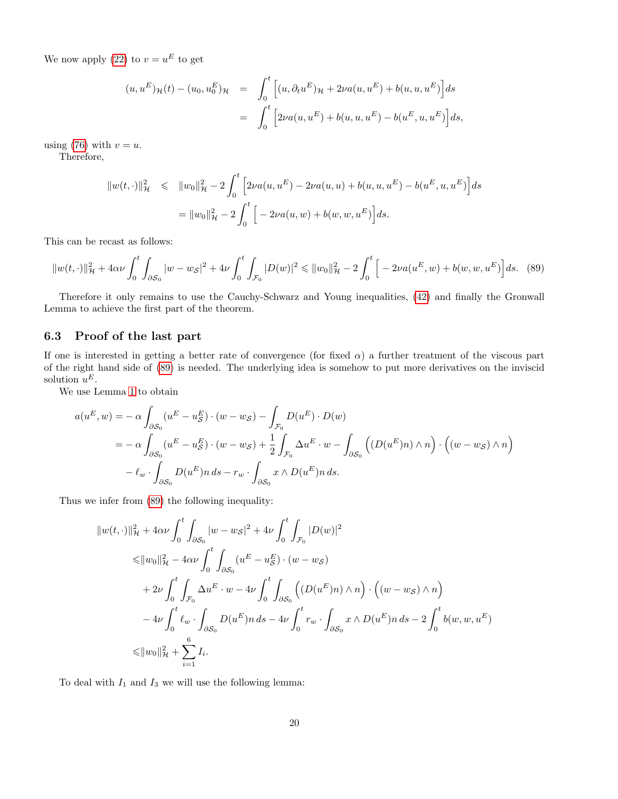We now apply [\(22\)](#page-5-2) to  $v = u^E$  to get

$$
(u, u^{E})_{\mathcal{H}}(t) - (u_{0}, u_{0}^{E})_{\mathcal{H}} = \int_{0}^{t} \left[ (u, \partial_{t} u^{E})_{\mathcal{H}} + 2\nu a(u, u^{E}) + b(u, u, u^{E}) \right] ds
$$
  

$$
= \int_{0}^{t} \left[ 2\nu a(u, u^{E}) + b(u, u, u^{E}) - b(u^{E}, u, u^{E}) \right] ds,
$$

using [\(76\)](#page-15-6) with  $v = u$ .

Therefore,

$$
||w(t, \cdot)||_{\mathcal{H}}^{2} \leq ||w_{0}||_{\mathcal{H}}^{2} - 2 \int_{0}^{t} \left[ 2\nu a(u, u^{E}) - 2\nu a(u, u) + b(u, u, u^{E}) - b(u^{E}, u, u^{E}) \right] ds
$$
  
= 
$$
||w_{0}||_{\mathcal{H}}^{2} - 2 \int_{0}^{t} \left[ -2\nu a(u, w) + b(w, w, u^{E}) \right] ds.
$$

This can be recast as follows:

$$
||w(t, \cdot)||_{\mathcal{H}}^2 + 4\alpha\nu \int_0^t \int_{\partial S_0} |w - w_{\mathcal{S}}|^2 + 4\nu \int_0^t \int_{\mathcal{F}_0} |D(w)|^2 \le ||w_0||_{\mathcal{H}}^2 - 2 \int_0^t \Big[ -2\nu a(u^E, w) + b(w, w, u^E) \Big] ds. \tag{89}
$$

Therefore it only remains to use the Cauchy-Schwarz and Young inequalities, [\(42\)](#page-10-2) and finally the Gronwall Lemma to achieve the first part of the theorem.

### 6.3 Proof of the last part

If one is interested in getting a better rate of convergence (for fixed  $\alpha$ ) a further treatment of the viscous part of the right hand side of [\(89\)](#page-18-1) is needed. The underlying idea is somehow to put more derivatives on the inviscid solution  $u^E$ .

We use Lemma [1](#page-4-0) to obtain

$$
a(u^{E}, w) = -\alpha \int_{\partial S_{0}} (u^{E} - u^{E}_{S}) \cdot (w - w_{S}) - \int_{\mathcal{F}_{0}} D(u^{E}) \cdot D(w)
$$
  
=  $-\alpha \int_{\partial S_{0}} (u^{E} - u^{E}_{S}) \cdot (w - w_{S}) + \frac{1}{2} \int_{\mathcal{F}_{0}} \Delta u^{E} \cdot w - \int_{\partial S_{0}} \left( (D(u^{E})n) \wedge n \right) \cdot \left( (w - w_{S}) \wedge n \right)$   
 $- \ell_{w} \cdot \int_{\partial S_{0}} D(u^{E})n ds - r_{w} \cdot \int_{\partial S_{0}} x \wedge D(u^{E})n ds.$ 

Thus we infer from [\(89\)](#page-18-1) the following inequality:

$$
\|w(t,\cdot)\|_{\mathcal{H}}^2 + 4\alpha\nu \int_0^t \int_{\partial S_0} |w - w_{\mathcal{S}}|^2 + 4\nu \int_0^t \int_{\mathcal{F}_0} |D(w)|^2
$$
  
\n
$$
\leq \|w_0\|_{\mathcal{H}}^2 - 4\alpha\nu \int_0^t \int_{\partial S_0} (u^E - u^E_{\mathcal{S}}) \cdot (w - w_{\mathcal{S}})
$$
  
\n
$$
+ 2\nu \int_0^t \int_{\mathcal{F}_0} \Delta u^E \cdot w - 4\nu \int_0^t \int_{\partial S_0} \left( (D(u^E)n) \wedge n \right) \cdot \left( (w - w_{\mathcal{S}}) \wedge n \right)
$$
  
\n
$$
- 4\nu \int_0^t \ell_w \cdot \int_{\partial S_0} D(u^E)n ds - 4\nu \int_0^t r_w \cdot \int_{\partial S_0} x \wedge D(u^E)n ds - 2 \int_0^t b(w, w, u^E)
$$
  
\n
$$
\leq \|w_0\|_{\mathcal{H}}^2 + \sum_{i=1}^6 I_i.
$$

To deal with  $I_1$  and  $I_3$  we will use the following lemma: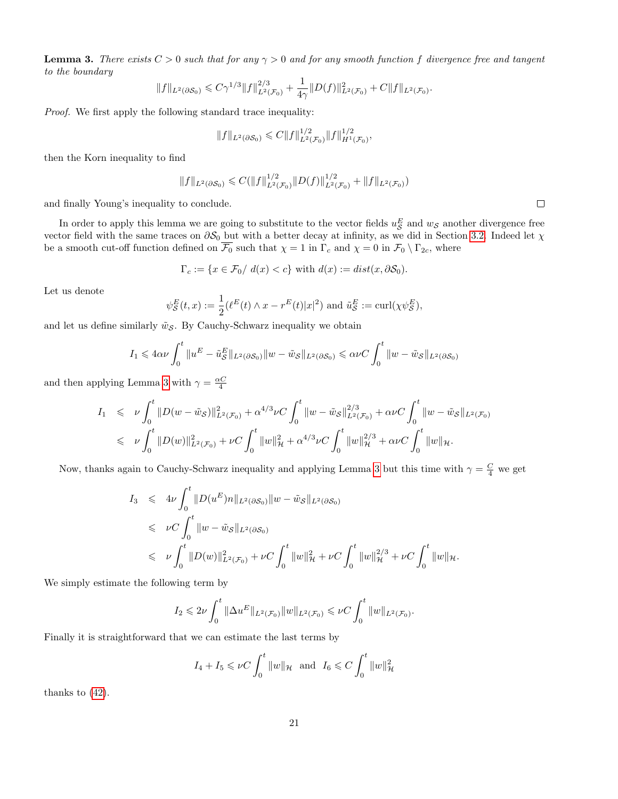<span id="page-20-0"></span>**Lemma 3.** There exists  $C > 0$  such that for any  $\gamma > 0$  and for any smooth function f divergence free and tangent to the boundary

$$
||f||_{L^{2}(\partial \mathcal{S}_{0})} \leqslant C \gamma^{1/3} ||f||_{L^{2}(\mathcal{F}_{0})}^{2/3} + \frac{1}{4\gamma} ||D(f)||^{2}_{L^{2}(\mathcal{F}_{0})} + C||f||_{L^{2}(\mathcal{F}_{0})}.
$$

Proof. We first apply the following standard trace inequality:

$$
||f||_{L^{2}(\partial S_{0})} \leqslant C||f||_{L^{2}(\mathcal{F}_{0})}^{1/2}||f||_{H^{1}(\mathcal{F}_{0})}^{1/2},
$$

then the Korn inequality to find

$$
||f||_{L^{2}(\partial S_{0})} \leq C(||f||_{L^{2}(\mathcal{F}_{0})}^{1/2}||D(f)||_{L^{2}(\mathcal{F}_{0})}^{1/2} + ||f||_{L^{2}(\mathcal{F}_{0})})
$$

and finally Young's inequality to conclude.

In order to apply this lemma we are going to substitute to the vector fields  $u_S^E$  and  $w_S$  another divergence free vector field with the same traces on  $\partial \mathcal{S}_0$  but with a better decay at infinity, as we did in Section [3.2.](#page-4-2) Indeed let  $\chi$ be a smooth cut-off function defined on  $\overline{\mathcal{F}_0}$  such that  $\chi = 1$  in  $\Gamma_c$  and  $\chi = 0$  in  $\mathcal{F}_0 \setminus \Gamma_{2c}$ , where

$$
\Gamma_c := \{ x \in \mathcal{F}_0 / d(x) < c \} \text{ with } d(x) := dist(x, \partial \mathcal{S}_0).
$$

Let us denote

$$
\psi_{\mathcal{S}}^{E}(t,x) := \frac{1}{2} (\ell^{E}(t) \wedge x - r^{E}(t)|x|^{2}) \text{ and } \tilde{u}_{\mathcal{S}}^{E} := \operatorname{curl}(\chi \psi_{\mathcal{S}}^{E}),
$$

and let us define similarly  $\tilde{w}_{\mathcal{S}}$ . By Cauchy-Schwarz inequality we obtain

$$
I_1 \leqslant 4\alpha\nu \int_0^t \|u^E - \tilde{u}_{\mathcal{S}}^E\|_{L^2(\partial \mathcal{S}_0)} \|w - \tilde{w}_{\mathcal{S}}\|_{L^2(\partial \mathcal{S}_0)} \leqslant \alpha\nu C \int_0^t \|w - \tilde{w}_{\mathcal{S}}\|_{L^2(\partial \mathcal{S}_0)}
$$

and then applying Lemma [3](#page-20-0) with  $\gamma = \frac{\alpha C}{4}$ 

$$
I_1 \leq \nu \int_0^t \|D(w - \tilde{w}_{\mathcal{S}})\|_{L^2(\mathcal{F}_0)}^2 + \alpha^{4/3} \nu C \int_0^t \|w - \tilde{w}_{\mathcal{S}}\|_{L^2(\mathcal{F}_0)}^{2/3} + \alpha \nu C \int_0^t \|w - \tilde{w}_{\mathcal{S}}\|_{L^2(\mathcal{F}_0)} \leq \nu \int_0^t \|D(w)\|_{L^2(\mathcal{F}_0)}^2 + \nu C \int_0^t \|w\|_{\mathcal{H}}^2 + \alpha^{4/3} \nu C \int_0^t \|w\|_{\mathcal{H}}^{2/3} + \alpha \nu C \int_0^t \|w\|_{\mathcal{H}}.
$$

Now, thanks again to Cauchy-Schwarz inequality and applying Lemma [3](#page-20-0) but this time with  $\gamma = \frac{C}{4}$  we get

$$
I_3 \leq 4\nu \int_0^t \|D(u^E)n\|_{L^2(\partial S_0)} \|w - \tilde{w}_{\mathcal{S}}\|_{L^2(\partial S_0)}
$$
  
\n
$$
\leq \nu C \int_0^t \|w - \tilde{w}_{\mathcal{S}}\|_{L^2(\partial S_0)}
$$
  
\n
$$
\leq \nu \int_0^t \|D(w)\|_{L^2(\mathcal{F}_0)}^2 + \nu C \int_0^t \|w\|_{\mathcal{H}}^2 + \nu C \int_0^t \|w\|_{\mathcal{H}}^{2/3} + \nu C \int_0^t \|w\|_{\mathcal{H}}.
$$

We simply estimate the following term by

$$
I_2 \leq 2\nu \int_0^t \|\Delta u^E\|_{L^2(\mathcal{F}_0)} \|w\|_{L^2(\mathcal{F}_0)} \leq \nu C \int_0^t \|w\|_{L^2(\mathcal{F}_0)}.
$$

Finally it is straightforward that we can estimate the last terms by

$$
I_4 + I_5 \leq \nu C \int_0^t \|w\|_{\mathcal{H}}
$$
 and  $I_6 \leq C \int_0^t \|w\|_{\mathcal{H}}^2$ 

thanks to [\(42\)](#page-10-2).

 $\Box$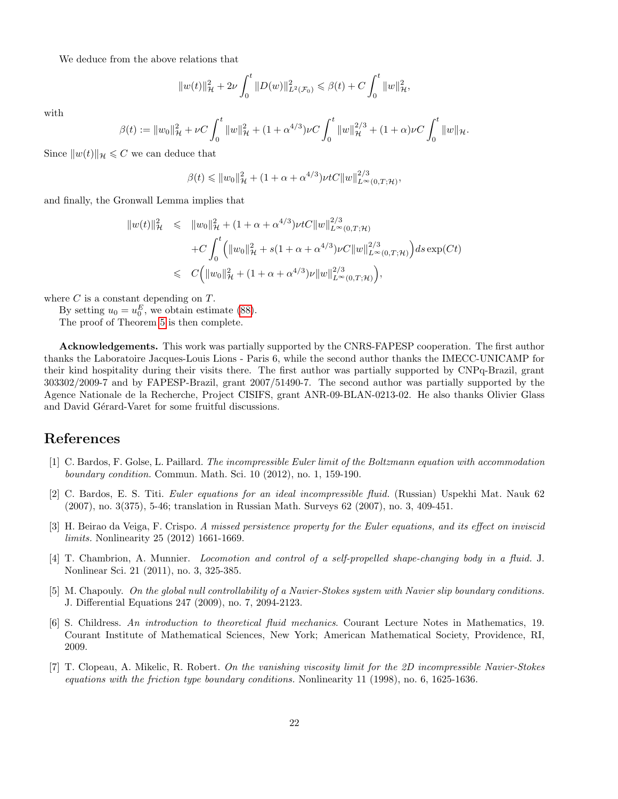We deduce from the above relations that

$$
||w(t)||_{\mathcal{H}}^2 + 2\nu \int_0^t ||D(w)||_{L^2(\mathcal{F}_0)}^2 \leq \beta(t) + C \int_0^t ||w||_{\mathcal{H}}^2,
$$

with

$$
\beta(t) := \|w_0\|_{\mathcal{H}}^2 + \nu C \int_0^t \|w\|_{\mathcal{H}}^2 + (1 + \alpha^{4/3})\nu C \int_0^t \|w\|_{\mathcal{H}}^{2/3} + (1 + \alpha)\nu C \int_0^t \|w\|_{\mathcal{H}}.
$$

Since  $||w(t)||_{\mathcal{H}} \leq C$  we can deduce that

$$
\beta(t) \leq \|w_0\|_{\mathcal{H}}^2 + (1 + \alpha + \alpha^{4/3}) \nu t C \|w\|_{L^{\infty}(0,T; \mathcal{H})}^{2/3},
$$

and finally, the Gronwall Lemma implies that

$$
||w(t)||_{\mathcal{H}}^{2} \leq ||w_{0}||_{\mathcal{H}}^{2} + (1 + \alpha + \alpha^{4/3})\nu tC||w||_{L^{\infty}(0,T;\mathcal{H})}^{2/3} + C \int_{0}^{t} (||w_{0}||_{\mathcal{H}}^{2} + s(1 + \alpha + \alpha^{4/3})\nu C||w||_{L^{\infty}(0,T;\mathcal{H})}^{2/3}) ds \exp(Ct) \leq C (||w_{0}||_{\mathcal{H}}^{2} + (1 + \alpha + \alpha^{4/3})\nu ||w||_{L^{\infty}(0,T;\mathcal{H})}^{2/3}),
$$

where  $C$  is a constant depending on  $T$ .

By setting  $u_0 = u_0^E$ , we obtain estimate [\(88\)](#page-17-3).

The proof of Theorem [5](#page-17-2) is then complete.

Acknowledgements. This work was partially supported by the CNRS-FAPESP cooperation. The first author thanks the Laboratoire Jacques-Louis Lions - Paris 6, while the second author thanks the IMECC-UNICAMP for their kind hospitality during their visits there. The first author was partially supported by CNPq-Brazil, grant 303302/2009-7 and by FAPESP-Brazil, grant 2007/51490-7. The second author was partially supported by the Agence Nationale de la Recherche, Project CISIFS, grant ANR-09-BLAN-0213-02. He also thanks Olivier Glass and David Gérard-Varet for some fruitful discussions.

## References

- <span id="page-21-1"></span>[1] C. Bardos, F. Golse, L. Paillard. The incompressible Euler limit of the Boltzmann equation with accommodation boundary condition. Commun. Math. Sci. 10 (2012), no. 1, 159-190.
- <span id="page-21-0"></span>[2] C. Bardos, E. S. Titi. Euler equations for an ideal incompressible fluid. (Russian) Uspekhi Mat. Nauk 62 (2007), no. 3(375), 5-46; translation in Russian Math. Surveys 62 (2007), no. 3, 409-451.
- <span id="page-21-2"></span>[3] H. Beirao da Veiga, F. Crispo. A missed persistence property for the Euler equations, and its effect on inviscid limits. Nonlinearity 25 (2012) 1661-1669.
- <span id="page-21-6"></span>[4] T. Chambrion, A. Munnier. Locomotion and control of a self-propelled shape-changing body in a fluid. J. Nonlinear Sci. 21 (2011), no. 3, 325-385.
- <span id="page-21-5"></span>[5] M. Chapouly. On the global null controllability of a Navier-Stokes system with Navier slip boundary conditions. J. Differential Equations 247 (2009), no. 7, 2094-2123.
- <span id="page-21-4"></span>[6] S. Childress. An introduction to theoretical fluid mechanics. Courant Lecture Notes in Mathematics, 19. Courant Institute of Mathematical Sciences, New York; American Mathematical Society, Providence, RI, 2009.
- <span id="page-21-3"></span>[7] T. Clopeau, A. Mikelic, R. Robert. On the vanishing viscosity limit for the 2D incompressible Navier-Stokes equations with the friction type boundary conditions. Nonlinearity 11 (1998), no. 6, 1625-1636.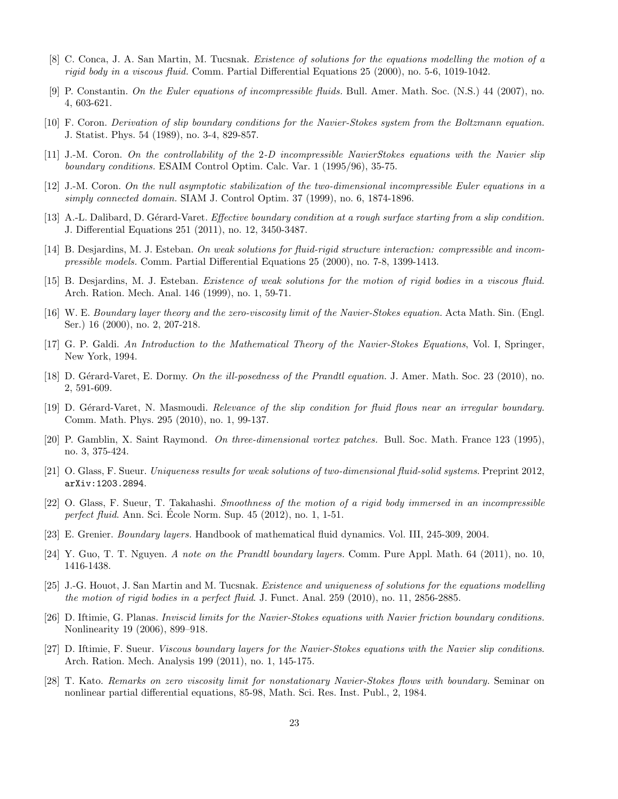- <span id="page-22-5"></span>[8] C. Conca, J. A. San Martin, M. Tucsnak. Existence of solutions for the equations modelling the motion of a rigid body in a viscous fluid. Comm. Partial Differential Equations 25 (2000), no. 5-6, 1019-1042.
- <span id="page-22-6"></span>[9] P. Constantin. On the Euler equations of incompressible fluids. Bull. Amer. Math. Soc. (N.S.) 44 (2007), no. 4, 603-621.
- <span id="page-22-15"></span>[10] F. Coron. Derivation of slip boundary conditions for the Navier-Stokes system from the Boltzmann equation. J. Statist. Phys. 54 (1989), no. 3-4, 829-857.
- <span id="page-22-19"></span>[11] J.-M. Coron. On the controllability of the 2-D incompressible NavierStokes equations with the Navier slip boundary conditions. ESAIM Control Optim. Calc. Var. 1 (1995/96), 35-75.
- <span id="page-22-20"></span>[12] J.-M. Coron. On the null asymptotic stabilization of the two-dimensional incompressible Euler equations in a simply connected domain. SIAM J. Control Optim. 37 (1999), no. 6, 1874-1896.
- <span id="page-22-16"></span>[13] A.-L. Dalibard, D. Gérard-Varet. Effective boundary condition at a rough surface starting from a slip condition. J. Differential Equations 251 (2011), no. 12, 3450-3487.
- <span id="page-22-3"></span>[14] B. Desjardins, M. J. Esteban. On weak solutions for fluid-rigid structure interaction: compressible and incompressible models. Comm. Partial Differential Equations 25 (2000), no. 7-8, 1399-1413.
- <span id="page-22-4"></span>[15] B. Desjardins, M. J. Esteban. Existence of weak solutions for the motion of rigid bodies in a viscous fluid. Arch. Ration. Mech. Anal. 146 (1999), no. 1, 59-71.
- <span id="page-22-7"></span>[16] W. E. Boundary layer theory and the zero-viscosity limit of the Navier-Stokes equation. Acta Math. Sin. (Engl. Ser.) 16 (2000), no. 2, 207-218.
- <span id="page-22-14"></span>[17] G. P. Galdi. An Introduction to the Mathematical Theory of the Navier-Stokes Equations, Vol. I, Springer, New York, 1994.
- <span id="page-22-9"></span>[18] D. Gérard-Varet, E. Dormy. On the ill-posedness of the Prandtl equation. J. Amer. Math. Soc. 23 (2010), no. 2, 591-609.
- <span id="page-22-17"></span>[19] D. Gérard-Varet, N. Masmoudi. Relevance of the slip condition for fluid flows near an irregular boundary. Comm. Math. Phys. 295 (2010), no. 1, 99-137.
- <span id="page-22-18"></span>[20] P. Gamblin, X. Saint Raymond. On three-dimensional vortex patches. Bull. Soc. Math. France 123 (1995), no. 3, 375-424.
- <span id="page-22-2"></span>[21] O. Glass, F. Sueur. Uniqueness results for weak solutions of two-dimensional fluid-solid systems. Preprint 2012, arXiv:1203.2894.
- <span id="page-22-1"></span>[22] O. Glass, F. Sueur, T. Takahashi. Smoothness of the motion of a rigid body immersed in an incompressible perfect fluid. Ann. Sci. Ecole Norm. Sup.  $45$   $(2012)$ , no. 1, 1-51.
- <span id="page-22-8"></span>[23] E. Grenier. Boundary layers. Handbook of mathematical fluid dynamics. Vol. III, 245-309, 2004.
- <span id="page-22-10"></span>[24] Y. Guo, T. T. Nguyen. A note on the Prandtl boundary layers. Comm. Pure Appl. Math. 64 (2011), no. 10, 1416-1438.
- <span id="page-22-0"></span>[25] J.-G. Houot, J. San Martin and M. Tucsnak. Existence and uniqueness of solutions for the equations modelling the motion of rigid bodies in a perfect fluid. J. Funct. Anal. 259 (2010), no. 11, 2856-2885.
- <span id="page-22-12"></span>[26] D. Iftimie, G. Planas. Inviscid limits for the Navier-Stokes equations with Navier friction boundary conditions. Nonlinearity 19 (2006), 899–918.
- <span id="page-22-13"></span>[27] D. Iftimie, F. Sueur. Viscous boundary layers for the Navier-Stokes equations with the Navier slip conditions. Arch. Ration. Mech. Analysis 199 (2011), no. 1, 145-175.
- <span id="page-22-11"></span>[28] T. Kato. Remarks on zero viscosity limit for nonstationary Navier-Stokes flows with boundary. Seminar on nonlinear partial differential equations, 85-98, Math. Sci. Res. Inst. Publ., 2, 1984.